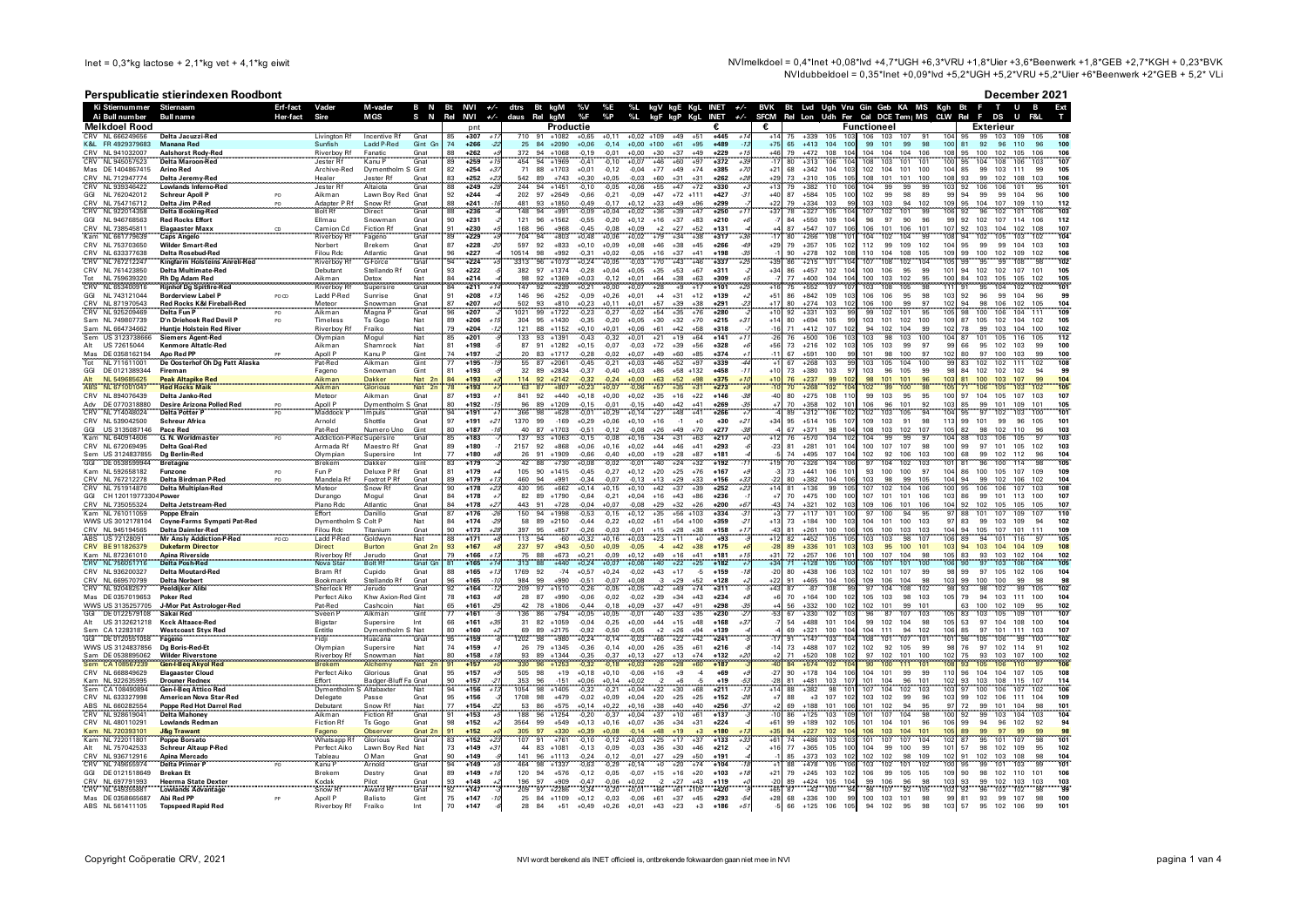NVImelkdoel = 0,4\*lnet +0,08\*lvd +4,7\*UGH +6,3\*VRU +1,8\*Uier +3,6\*Beenwerk +1,8\*GEB +2,7\*KGH + 0,23\*BVK NVIdubbeldoel = 0,35\*lnet +0,09\*lvd +5,2\*UGH +5,2\*VRU +5,2\*Uler +6\*Beenwerk +2\*GEB + 5,2\* VLi

## Perspublicatie stierindexen Roodbont

|  |  |  | December 2021 |  |
|--|--|--|---------------|--|
|  |  |  |               |  |

| Ki Stiernummer Stiernaam                              | cropablicatic sticringcken hoodboll                                                                                                          | Erf-fact       | Vader                           | M-vader                            |                    | B N Bt NVI +/- dtrs                  |              | Bt kgM                         | %V                 | %E                                       |                | %L kgV kgE KgL INET +/-          |                  |                      |                              |                                                            | BVK Bt Lvd Ugh Vru Gin Geb KA MS Kgh Bt F |                          |                                                  |                    | $\mathbf{r}$                 | $U$ B      | Ext                      |
|-------------------------------------------------------|----------------------------------------------------------------------------------------------------------------------------------------------|----------------|---------------------------------|------------------------------------|--------------------|--------------------------------------|--------------|--------------------------------|--------------------|------------------------------------------|----------------|----------------------------------|------------------|----------------------|------------------------------|------------------------------------------------------------|-------------------------------------------|--------------------------|--------------------------------------------------|--------------------|------------------------------|------------|--------------------------|
| Ai Bull number                                        | <b>Bull name</b>                                                                                                                             | Her-fact       | <b>Sire</b>                     | <b>MGS</b>                         |                    | S N Rel NVI<br>$+/-$                 | daus Rel kgM |                                | %F                 | $\%P$<br>$\frac{9}{1}$                   |                | KaL                              | INET $+/$        | <b>SFCM</b>          |                              |                                                            | Rel Lon Udh Fer Cal DCE Tem   MS CLW Rel  |                          |                                                  |                    | F<br>DS                      | U          |                          |
| Melkdoel Rood                                         |                                                                                                                                              |                |                                 |                                    |                    | pnt                                  |              | Productie                      |                    |                                          |                |                                  |                  | €                    |                              |                                                            | Functioneel                               |                          |                                                  |                    | Exterieur                    |            |                          |
| CRV NI 666249656                                      | Delta Jacuzzi-Red                                                                                                                            |                | Livington Rt                    | Incentive Rt                       | Gnat               | $+307$<br>85                         | 710          | $+1082$<br>91                  | $+0.65$            | $+0.11$                                  | $+0.02 + 109$  | $+49$                            | $+445$           |                      | $+339$                       |                                                            | 106                                       | 103                      |                                                  |                    | 99<br>103                    |            |                          |
| K&L FR 4929379683                                     | <b>Manana Red</b>                                                                                                                            |                | Sunfish                         | Ladd P-Red                         | Gint Gr            | 74<br>$+266$<br>$-2$                 | 25           | 84<br>$+2090$                  | $+0,06$            | $-0.14$                                  | $+0,00$ +100   | $+61$<br>$+95$                   | $+489$           | $+75$                | 65<br>$+413$                 | 104<br>100                                                 | 99                                        | 101<br>99                | 98<br>10 <sub>1</sub>                            | 81                 | 92<br>96                     | 110        | 96<br>100                |
| CRV NI 941032007                                      | <b>Aalshorst Rody-Red</b>                                                                                                                    |                | Riverboy Rt                     | Eanatic                            | Gnat               | 88<br>$+262$                         | 372          | 94<br>$+1068$                  | $-0,19$            | $-0.01$<br>$+0.00$                       | $+30$          | $+37$<br>$+49$                   | $+229$           | +46                  | $+472$<br>79                 | 108<br>10 <sub>4</sub>                                     | 104                                       | 104<br>104               | 106<br>101                                       | 95                 | 102<br>100                   | 105        | 106<br>106               |
| CRV NL 945057523                                      | Delta Maroon-Red                                                                                                                             |                | Jester Rf                       | Kanu P                             | Gnat<br>Gnat       | $\frac{1}{89}$<br>$+259$             |              | 94<br>$+1969$                  | $-0,41$            | $-0,10$<br>$+0,07$                       | $+46$          | $+97$<br>$+60$                   | $+372$           |                      | $+313$                       | 106                                                        | 108<br>104                                | 103<br>101               | 101<br>100                                       | 95                 | 104<br>108                   | 106        | 103<br>107               |
| Mas DE 1404867415                                     | <b>Arino Red</b>                                                                                                                             |                | Archive-Red                     | Dymentholm S Gint                  |                    | 82<br>$+254$<br>$+3$                 | 71           | 88<br>$+1703$                  | $+0.01$            | $-0.12$<br>$-0.04$                       | $+77$          | $+49$<br>$+74$                   | $+385$           | $+7$<br>$+21$        | 68<br>$+342$                 | 104<br>103                                                 | 102                                       | 104<br>101 100           | 10 <sub>1</sub><br>101                           | 85                 | 99<br>103<br>99              | 111        | 99<br>105                |
| CRV<br>NL 712947774<br>NL 939346422                   | Delta Jeremy-Red<br><b>Lowlands Inferno-Red</b>                                                                                              |                | Healer<br>Jester Rt             | Jester Ri<br>Altaiota              | Gnat               | 83<br>$+252$<br>$+249$<br>8Ř         | 542<br>244   | 89<br>$+743$<br>94<br>$+1451$  | $+0,30$<br>$-0,10$ | $+0,05$<br>$-0.03$<br>$-0.05$<br>$+0.06$ | $+60$<br>$+55$ | $+31$<br>$+31$<br>$+47$<br>$+72$ | $+262$<br>$+330$ | $+29$                | 73<br>$+310$<br>$+382$       | 105<br>105<br>110                                          | 108                                       | 101<br>101<br>99         | 100                                              | 93<br>92           | 102<br>106<br>106            | 108        | 103<br>106<br>101<br>95  |
| GGI NL 762042012                                      | <b>Schreur Apoll P</b>                                                                                                                       | PO             | Aikman                          | Lawn Boy Red Gnat                  |                    | 92<br>$+244$                         |              | 202 97 +2649                   | $-0.66$            | $-0,21$<br>$-0,09$                       | $+47$          | $+72$ +111                       | $+427$           | $+40$                | 87<br>$+584$                 | 105<br>100                                                 | 102                                       | 99<br>98                 | 89<br>99                                         | 94                 | 99<br>99                     | 104        | 96<br>100                |
| CRV<br>NL 754716712                                   | Delta Jim P-Red                                                                                                                              | PO             | Adapter P Rf                    | Snow Rf                            | Gnat               | 88<br>$+241$                         | 481          | 93<br>+1850                    | $-0.49$            | $-0,17$<br>$+0.12$                       | $+33$          | $+49$                            | +290             |                      | 79<br>$+334$                 | 103                                                        | 103                                       | 103<br>94                | 102<br>10 <sup>4</sup>                           | 95                 | 104<br>107                   | 109        | 110<br>112               |
| NL 922014358                                          | <b>Delta Booking-Red</b>                                                                                                                     |                | <b>Bolt Rf</b>                  | Direct                             | Gnat               | 88<br>$+236$                         | 148          | $+991$                         | 0.09               | $+0.02$<br>+0.04                         | +36            | $+39$<br>$+47$                   | $+250$           |                      | $+327$                       | 105                                                        | 107                                       | 101<br>102               | 10 <sub>0</sub>                                  | 92                 | 102                          | 101        | 103                      |
| GGI<br>NL 946768563                                   | <b>Red Rocks Effort</b>                                                                                                                      |                | Ellmau                          | Snowman                            | Gnat               | 90<br>$+231$                         | 121          | 96<br>$+1562$                  | $-0.55$            | $-0.20$<br>$+0.12$                       | $+16$          | $+83$<br>$+37$                   | $+210$           |                      | 84<br>$+550$                 | 109<br>104                                                 | 96                                        | 97<br>90                 | 96<br>99                                         | 92                 | 102<br>107                   | 114        | 106<br>112               |
| CRV NL 738545811<br>Kam NL 661779639                  | <b>Elagaaster Maxx</b><br><b>Caps Angelo</b>                                                                                                 | cn             | Camion Cd<br><b>Riverboy Rt</b> | <b>Fiction Rf</b>                  | Gnat<br>Gnat       | 91<br>$+230$<br>89<br>$+229$         | 168<br>704   | 96<br>$+968$<br>94<br>$+803$   | $-0,45$<br>$+0.48$ | $-0,08$<br>$+0,09$<br>$+0,06$<br>$+0,02$ | $+2$<br>$+79$  | $+27$<br>$+52$<br>$+34$<br>$+38$ | $+131$<br>$+317$ |                      | 87<br>$+547$<br>$+266$<br>80 | 107<br>108<br>$10^{-1}$                                    | 106<br>106<br>104                         | 101<br>106<br>102<br>104 | 101<br>107<br>99<br>101                          | 92<br>94           | 103<br>104<br>102<br>105     | 102<br>103 | 108<br>107<br>102<br>104 |
| CRV NL 753703650                                      | <b>Wilder Smart-Red</b>                                                                                                                      |                | Norbert                         | Fageno<br>Brekem                   | Gnat               | 87<br>$+228$                         | 597          | 92<br>$+833$                   | $+0,10$            | $+0,09$<br>$+0,08$                       | $+46$          | $+38$<br>$+45$                   | $+266$           | $+29$                | 79<br>$+357$                 | 105<br>102                                                 | 112                                       | 99<br>109                | 102<br>10 <sub>1</sub>                           | 95                 | 99<br>99                     | 104        | 103<br>103               |
| CRV NL 633377638                                      | Delta Rosebud-Red                                                                                                                            |                | Filou Rdc                       | Atlantic                           | Gnat               | 96<br>$+227$                         | 10514        | 98<br>$+992$                   | $-0,31$            | $+0,02$<br>$-0.05$                       | $+16$          | $+37$<br>$+41$                   | $+198$           |                      | 90<br>$+278$                 | 102<br>10 <sup>s</sup>                                     | 110                                       | 104<br>108               | 10 <sub>1</sub><br>105                           | 99                 | 102<br>100                   | 109        | 102<br>106               |
| CRV NL 767212247                                      | Kingfarm Holsteins Anreli-Red                                                                                                                |                | <b>Riverboy R</b>               | G-Force                            | Gnat               | 94<br>$+224$                         | 3313         | 96<br>$+1073$                  | $+0.24$            | $-0.03$<br>$+0.05$                       | $+70$          | $+43$<br>$+46$                   | $+337$           | $+39$                | 86<br>$+215$                 | 104<br>101                                                 | 107                                       | 108<br>102               | 105<br>104                                       | 99                 | 95<br>99                     | 108        | 98<br>102                |
| CRV NL 761423850                                      | Delta Multimate-Red                                                                                                                          |                | Debutant                        | Stellando Rf                       | Gnat               | 93<br>$+222$                         | 382          | 97<br>$+1374$                  | $-0.28$            | $+0.04$<br>$+0.05$                       | $+35$          | $+53$<br>$+67$                   | $+311$           | $+34$                | 86<br>$+457$                 | 102                                                        | 104<br>100                                | 106<br>95                | $10^{1}$<br>99                                   | 94                 | 102<br>102                   | 107        | 101<br>105               |
| NL 759639320                                          | Rh Dg Adam Red                                                                                                                               |                | Aikman                          | Detox                              | Nat                | 84<br>$+214$                         | 98           | 92<br>$+1369$                  | $+0,03$            | $-0,12$<br>$+0,01$                       | $+64$          | $+38$<br>$+9$<br>$+63$           | $+309$           |                      | +400                         | 104<br>10 <sub>1</sub>                                     | 100                                       | 103<br>102               | 10                                               | 84                 | 103<br>105                   | 105        | 102<br>105               |
| NL 653400916                                          | <b>Rijnhof Dg Spitfire-Red</b>                                                                                                               |                | Riverboy                        | Supersin                           | Gna                | 84<br>$+211$                         | 147          | 92<br>$+239$                   | $+0,21$            | $+0,07$<br>$+0.00$                       | $+28$          |                                  | $+101$           |                      | 75<br>$+552$                 | 107<br>107                                                 | 103                                       | 108<br>105               | 11                                               | 91                 | 95<br>104                    | 102        | 102<br>101               |
| GGI<br>NL 743121044                                   | <b>Borderview Label P</b>                                                                                                                    | PO CD          | Ladd P-Red                      | Sunrise                            | Gnat               | 91<br>$+208$<br>87                   | 146<br>502   | 96<br>$+252$<br>93<br>$+810$   | $-0,09$            | $+0,26$<br>$+0,01$                       | $+4$           | $+31$<br>$+12$                   | $+139$<br>$+291$ | $+51$                | 86<br>$+842$<br>$+274$       | 109<br>103                                                 | 106<br>106                                | 106<br>95<br>100         | 98<br>10:<br>97<br>10:                           | 92<br>$Q_{\Delta}$ | 96<br>99<br><b>QR</b><br>106 | 104<br>102 | 96<br>105<br>104         |
| CRV NL 871970543<br><b>CRV</b><br>NL 925209469        | Red Rocks K&I Fireball-Red<br>Delta Fun P                                                                                                    | P <sub>0</sub> | Meteor<br>Aikman                | Snowman<br>Magna P                 | Gnat<br>Gnat       | $+207$<br>$+207$                     | 1021         | $+1722$                        | $+0,23$<br>$-0.23$ | $+0,11$<br>$+0.01$<br>0.27<br>-0.02      | $+57$<br>$+54$ | $+39$<br>$+38$<br>+35            | $+280$           |                      | 80<br>$+331$                 | 103<br>102<br>103                                          |                                           | 99<br>102                |                                                  |                    |                              |            | 109                      |
| Sam NL 749807739                                      | D'n Driehoek Red Devil P                                                                                                                     | PO             | Timeless                        | Ts Gogo                            | Nat                | 89<br>$+206$                         |              | 304 95 +1430                   | $-0,35$            | $-0.20$<br>$+0.05$                       | $+30$          | $+32$<br>$+70$                   | $+215$           | $+3$<br>$+14$        | 80<br>$+694$                 | 105                                                        | 103<br>99                                 | 102<br>101               | 100<br>109                                       | 87                 | 102<br>105                   | 104        | 102<br>105               |
| Sam NL 664734662                                      | <b>Huntje Holstein Red River</b>                                                                                                             |                | Riverboy Rf                     | Fraiko                             | Nat                | 79<br>$+204$                         | 121          | 88<br>$+1152$                  | $+0,10$            | $+0,01$<br>$+0,06$                       | $+61$          | $+42$<br>$+58$                   | $+318$           | $-16$                | 71<br>$+412$                 | 107<br>10                                                  | 94                                        | 102<br>104               | 99<br>10:                                        | 78                 | 99<br>103                    | 104        | 100<br>102               |
| Sem US 3123738666                                     | <b>Siemers Agent-Red</b>                                                                                                                     |                | Olympian                        | Mogul                              | Nat                | 85<br>$+201$                         | 133          | 93<br>$+1391$                  | $-0.43$            | $-0,32$<br>$+0,01$                       | $+21$          | $+19$<br>$+64$                   | $+141$           | $\overline{2}$<br>+1 | 76<br>$+500$                 | 106<br>10 <sup>2</sup>                                     | 103                                       | 98<br>103                | 100<br>10.                                       | 87                 | 101<br>105                   | 116        | 105<br>112               |
| US 72615044<br>Alt                                    | <b>Kenmore Altatic-Red</b>                                                                                                                   |                | Aikman                          | Shamrock                           | Nat                | 81<br>$+198$                         | 87           | 91<br>$+1282$                  | $+0,15$            | $-0,07$<br>$-0,03$                       | $+72$          | $+39$<br>$+56$                   | $+328$           | $+56$                | 73<br>$+216$                 | 102<br>102                                                 | 105                                       | 103<br>99                | 97<br>99                                         | 66                 | 102<br>95                    | 103        | 99<br>100                |
| DE 0358162194<br>Mae                                  | Apo Red PP                                                                                                                                   |                | Apoll P                         | Kanu P                             | Gint               | 74<br>$+197$                         | 20           | 83<br>$+1717$                  | $-0.28$            | $+0.07$<br>$-0.02$                       | $\pm 49$       | $+60$<br>$+85$                   | $+374$           | $-11$                | 67<br>+591                   | 100                                                        | 101<br>qc                                 | 98<br>100                | 97<br>102                                        | 80                 | 100<br>97                    | 103        | QQ<br>100                |
| Tot<br>NL 711611001<br>GGI                            | De Oosterhof Oh Dg Patt Alaska<br>Fireman                                                                                                    |                | Pat-Rec                         | Aikman<br>Snowman                  | Gint<br>Gint       | 77<br>$+195$<br>R1<br>$+193$         | 55<br>32     | $+2061$<br>87<br>89<br>$+2834$ | $-0.45$<br>$-0.37$ | $-0.21$<br>$+0.03$                       | $+46$<br>$+86$ | $+97$<br>$+52$<br>$+58$          | $+339$<br>+458   | $+10$                | $+268$<br>$+380$             | 103<br>103                                                 | 103<br>Q <sub>1</sub><br>103              | 105<br>104<br>96<br>105  | 100<br>99<br><b>QF</b><br>99                     | 83<br>84           | 102<br>102<br>102<br>102     | 111<br>102 | 102<br>94                |
| DE 0121389344<br>NL 549685625                         | <b>Peak Altapike Red</b>                                                                                                                     |                | Fageno                          | <b>Dakker</b>                      | Nat                | 84<br>$+193$                         | 114          | 92<br>$+2142$                  | $-0,32$            | $-0.40$<br>$+0.03$<br>$-0,24$<br>$+0,00$ | $+63$          | $+132$<br>$+52$<br>$+98$         | $+375$           |                      | 73<br>76<br>$+237$           | 99<br>10 <sub>i</sub>                                      | 98                                        | 101<br>101               | 96<br>10 <sup>°</sup>                            | 81                 | 100<br>103                   | 107        |                          |
| NL 671001047                                          | n en matematik filosofoaren en matematik en al eta al estable eta al estable eta al estable eta al estable et<br><mark>Red Rocks Maik</mark> |                | Aikman<br>Aikman                | Glorious                           | Nat                | $+193$                               | 63           | $+807$                         |                    |                                          |                |                                  | $+273$           |                      |                              |                                                            |                                           |                          |                                                  |                    |                              |            |                          |
| CRV NL 894076439                                      | Delta Janko-Red                                                                                                                              |                | Meteor                          | Aikman                             | Gnat               | 87<br>$+193$                         | 841 92       | $+440$                         | $+0,18$            | $+0,00$<br>$+0,02$                       | $+35$          | $+16$<br>$+22$                   | $+146$           |                      | 80<br>$+275$                 | 108<br>11                                                  | 99                                        | 95<br>103                | 95<br>10                                         | 97                 | 104<br>105                   | 107        | 103                      |
| Adv DF 0770318880                                     | Desire Arizona Polled Red<br>                                                                                                                |                | Anoll P                         | Dymentholm S Gnat                  |                    | 80<br>$+192$                         | 96           | 89<br>$+1209$                  | $-0.15$            | $-0.01$<br>$-0.15$                       | $+40$          | $+41$<br>$+42$                   | $+269$           |                      | 70<br>+358                   | 102<br>10 <sup>1</sup>                                     | 106                                       | 96<br>101                | 92<br>102                                        | 85                 | 99<br>101                    | 109        | 101<br>105               |
| NL 714048024<br><b>CRV</b>                            | Delta Potter P                                                                                                                               |                | Maddock                         | Impuls                             | Gnat               | $+19$ <sup>*</sup>                   |              | $+628$<br>98                   | $-0.01$            | $+0.29$<br>$+0.14$                       | $+27$          | $+41$<br>$+48$                   | $+266$           |                      | $+312$                       |                                                            | 102                                       | 105 94                   |                                                  |                    | 102                          |            | 101                      |
| CRV NL 539042500                                      | <b>Schreur Africa</b>                                                                                                                        |                | Arnold                          | Shottle                            | Gnat               | 97<br>$+191$                         | 1370         | 99<br>$-169$                   | $+0.29$            | $+0.06$<br>$+0,10$                       | $+16$          | $-1$<br>$+0$                     | $+30$            | $+34$<br>$^{+2}$     | 95<br>$+514$                 | 105<br>107                                                 | 109                                       | 103<br>91                | 98<br>111                                        | 99                 | 101<br>99                    | 96         | 105<br>101               |
| US 3135087146<br>GGI US 313508714<br>Kam NL 640914606 | Pace Red<br>G. N. Worldmaster<br>G. N. Worldmaster                                                                                           |                | Pat-Red<br>Addiction-P          | Numero Uno<br>d Supersire          | Gint<br>Gnat       | 80<br>85<br>$+187$<br>$+183$         | 137          | 87<br>$+1703$<br>$+1063$<br>93 | $-0,51$<br>$-0,15$ | $-0,12$<br>$-0,08$<br>0.05               | $+26$<br>$+34$ | $+70$<br>$+31$<br>$+63$          | $+277$<br>$+217$ |                      | $+570$<br>76                 | 98<br>104                                                  | 104<br>108<br>102<br>104                  | 103<br>102<br>99<br>99   | 107<br>10<br>104<br>97                           | 88                 | 103                          | 105        |                          |
| CRV NL 672069495                                      | <b>Delta Goal-Red</b>                                                                                                                        |                | Armada Rf                       | Maestro Rf                         | Gnat               | 89<br>$+180$                         | 2157 92      | $+868$                         | $+0,06$            | $+0.16$<br>$+0.02$                       | $+44$          | $+41$<br>$+46$                   | $+293$           | $-23$                | 81<br>$+281$                 | 101<br>104                                                 | 100                                       | 107<br>107               | 98<br>100                                        | 99                 | 97<br>101                    | 105        | 102<br>10 <sup>2</sup>   |
| Sem US 3124837855                                     | Dg Berlin-Red                                                                                                                                |                | Olympian                        | Supersire                          | Int                | $+180$<br>77                         | 26           | 91<br>$+1909$                  | $-0,66$            | $-0.40$<br>$+0.00$                       | $+19$          | $+87$<br>$+28$                   | $+181$           |                      | 74<br>$+495$                 | 107<br>104                                                 | 102                                       | 92<br>106                | 103<br>10(                                       | 68                 | qq<br>102                    | 112        | 96<br>104                |
| GGI<br>DE 053859994                                   | <b>Bretagne</b>                                                                                                                              |                | <b>Brekem</b>                   | Dakker                             | <br>Gint           | 83<br>$+179$                         | 42           | 88<br>$+730$                   | $+0,08$            | $-0,01$<br>$-0.02$                       | $+40$          | $+24$<br>$+32$                   | $+192$           |                      | $+326$                       | 104                                                        | 97                                        | 104<br>102               | 103<br>$10^{1}$                                  | 81                 | 100                          |            | 105                      |
| Kam NL 592658182                                      | Funzone                                                                                                                                      | PO.            | Fun P                           | Deluxe P Rf                        | Gnat               | $+179$<br>81                         | 105          | 90<br>$+1415$                  | $-0.45$            | $-0.27$<br>$+0.12$                       | $+20$          | $+76$<br>$+25$                   | $+167$           |                      | 73<br>$+441$                 | 106<br>10 <sup>1</sup>                                     | 93                                        | 100<br>100               | 97<br>10 <sub>i</sub>                            | 86                 | 100<br>105                   | 107        | 109<br>109               |
| CRV NL 767212278                                      | Delta Birdman P-Red                                                                                                                          |                | Mandela Rf                      | Foxtrot P Rf                       | Gnat               | 89<br>$+179$                         | 460          | 94<br>$+991$                   | $-0,34$            | $-0.07$<br>$-0.13$                       | $+13$          | $+29$<br>$+33$                   | $+156$           |                      | 80<br>$+382$                 | 104<br>106                                                 | 103                                       | 98<br>99                 | 104<br>105                                       | 94                 | 99<br>102                    | 106        | 102<br>104               |
| CRV NL 751914870                                      | Delta Multiplan-Red                                                                                                                          |                | Meteor                          | Snow Rf                            | Gnat               | 90<br>$+178$<br>$+2$                 | 430          | 95<br>$+662$                   | $+0.14$            | $+0.15$<br>$+0.10$                       | $+42$          | $+37$<br>$+39$                   | $+252$           | $+14$<br>+2          | $+136$<br>81                 | 99<br>10 <sub>5</sub>                                      | 107                                       | 102<br>104               | 106<br>10                                        | 95                 | 106<br>106                   | 107        | 103<br>108               |
| GGI<br>CH 120119773304 Power<br>CRV NI 735055324      | Delta Jetstream-Red                                                                                                                          |                | Durango<br>Piano Rdc            | Mogul<br>Atlantic                  | Gnat<br>Gnat       | 84<br>$+178$<br>84<br>$+178$<br>22   | 82<br>443    | 89<br>$+1790$<br>91<br>$+728$  | $-0.64$<br>$-0.04$ | $-0.21$<br>$+0.04$<br>$+0.07$<br>$-0.08$ | $+16$<br>$+29$ | $+43$<br>$+86$<br>$+26$<br>$+32$ | $+236$<br>$+200$ | $-43$<br>$+67$       | 70<br>$+475$<br>74<br>$+321$ | 100<br>10.7<br>102                                         | 100<br>107<br>109                         | 101<br>101<br>106<br>101 | 106<br>103<br>104<br>106                         | 86<br>92           | 99<br>101<br>102<br>105      | 113<br>105 | 100<br>107<br>105<br>107 |
| Kam NL 761011059                                      | Poppe Efrain                                                                                                                                 |                | Effort                          | Danillo                            | Gnat               | 87<br>$+176$                         | 150          | 94<br>$+1998$                  | $-0,53$            | $-0.15$<br>$+0,12$                       | $+35$          | $+56$<br>$+103$                  | $+334$           |                      | $+117$                       | 101                                                        | 100<br>97                                 | 100                      | `q                                               | 88                 | 107                          | 109        | 107<br>110               |
| WWS US 3012178104                                     | Covne-Farms Sympati Pat-Red                                                                                                                  |                | Dymentholm S Colt P             |                                    | Nat                | 84<br>$+174$<br>-29                  | 58           | 89<br>$+2150$                  | $-0.44$            | $-0.22$<br>$+0.02$                       | $+51$          | $+54$<br>$+100$                  | $+359$           | $+13$                | 73<br>$+184$                 | 100<br>103                                                 | 104                                       | 101<br>100               | 103<br>$\mathbf{9}$                              | 83                 | 99<br>103                    | 109        | 94<br>102                |
| CRV NL 945194565                                      | Delta Daimler-Red                                                                                                                            |                | Filou Rdc                       | Titanium                           | Gnat               | $+173$                               | 397          | 95<br>$+857$                   | $-0.26$            | $-0.03$<br>$-0.01$                       | $+15$          | $+28$<br>$+38$                   | $+158$           |                      | $+261$                       | 100<br>10                                                  |                                           | 100<br>103               | 103<br>10 <sub>1</sub>                           |                    | 107                          | 101        | 111<br>109               |
| <b>ARS</b><br>US 72128091                             | <b>Mr Ansly Addiction-P-Red</b>                                                                                                              | PO CD          | <b>Ladd P-Red</b>               | Goldwyn                            | Nat                | 88<br>$+171$                         | 113          | 94<br>$-60$                    | $+0.32$            | $+0.16$<br>$+0.03$                       | $+23$          | $+11$<br>$+0$                    | $+93$            |                      | $+452$                       | 105                                                        | 10 <sub>1</sub><br>103                    | 103<br>98                | 107<br>10 <sub>l</sub>                           | 89                 | 94<br>101                    | 116        | 105                      |
| CRV BE 911826379                                      | <b>Dukefarm Director</b>                                                                                                                     |                | <b>Direct</b>                   | <b>Burton</b>                      | Gnat <sub>21</sub> | 93<br>$+167$                         | 237          | 97<br>$+943$                   | $-0,50$            | $+0.09$<br>$-0.05$                       | $-4$           | $+42$<br>$+38$                   | $+175$           | $-28$                | 89<br>$+336$                 | 101<br>103                                                 | 103                                       | 95<br>100                | 101<br>103                                       | 94                 | 103<br>104                   | 104        | 109                      |
| Kam NJ 872361010<br>CRV NL 756051716                  | <b>Anina Riverside</b><br><b>Delta Posh-Red</b>                                                                                              |                | Riverboy R<br>Nova Star         | Jerudo<br><b>Bolt Rf</b>           | Gnat<br>Gnat       | 79<br>$+166$<br>81<br>$+165$         | 75<br>313    | 88<br>$+673$<br>88             | $+0.21$<br>$+0,24$ | $-0.09$<br>$+0.12$<br>$+0,07$            | $+49$<br>$+40$ | $+16$<br>$+41$<br>$+22$          | $+181$           | $+31$                | $+257$<br>72                 | 106<br>10 <sup>1</sup><br>10 <sub>0</sub><br>$+128$<br>105 | 100                                       | 107<br>104<br>101<br>101 | 10!                                              | 83<br>90           | 103<br>93<br>103             | 102<br>106 | 104<br>102               |
| CRV NI 936200327                                      | <b>Delta Moutard-Red</b>                                                                                                                     |                | <b>Bram Rf</b>                  | Cupido                             | Gnat               | 88<br>$+165$                         | 1769         | 92<br>$-74$                    | $+0.57$            | $-0,02$<br>$+0.24$                       | $+43$          | $+17$<br>$-5$                    | $+159$           | $-20$                | $+438$<br>80                 | 106<br>10 <sup>5</sup>                                     | 102                                       | 101<br>107               | 99<br><b>QF</b>                                  | 99                 | 97<br>105                    | 102        | 106<br>104               |
| CRV NL 669570799                                      | <b>Delta Norbert</b>                                                                                                                         |                | Bookmark                        | Stellando Rf                       | Gnat               | 96<br>$+165$                         | 984          | 99<br>+990                     | $-0,51$            | $-0,07$<br>$+0.08$                       | $\cdot$ 3      | $+29$<br>$+52$                   | $+128$           | $+22$                | 91<br>$+465$                 | 104<br>106                                                 | 109                                       | 106<br>104               | 103<br>98                                        | 99                 | 100<br>100                   | 99         | 98                       |
| CRV NI 920482577                                      | <b>Peeldijker Alib</b>                                                                                                                       |                | Sherlock Rt                     | <b>Jerudo</b>                      | Gnat               | 92<br>$+164$                         | 209          | 97<br>$+1510$                  | $-0.26$            | $-0.05$<br>$+0.05$                       | $+42$          | $+74$<br>$+49$                   | $+311$           | $+4^{\circ}$         |                              | -87<br>108                                                 | 97                                        | 104<br>108               | 102                                              | <b>GP</b>          | 102<br>98                    | 99         | 105<br>102               |
| Mas DE 0357019653                                     | <b>Poker Red</b>                                                                                                                             |                | Perfect Aiko                    | Khw Axion-Red Gint                 |                    | 78<br>$+163$                         | 28           | 87<br>$+990$                   | $-0.06$            | $-0.02$<br>$-0.02$                       | $+39$          | $+34$<br>$+43$                   | $+234$           | $+6$                 | 70<br>$+164$                 | 100<br>102                                                 | 105                                       | 103<br>98                | 105<br>103                                       | 79                 | 94<br>103                    | 111        | 100<br>104               |
| WWS US 3135257705                                     | J-Mor Pat Astrologer-Red                                                                                                                     |                | Pat-Red                         | Cashcoin                           | Nat                | 65<br>$+161$<br>-2                   | 42           | 78<br>$+1806$                  | $-0.44$            | $-0.18$<br>$+0.09$                       | $+37$          | $+47$<br>$+91$                   | $+298$           | $+4$<br>$-3$         | $+332$<br>56                 | 100                                                        | 102<br>102                                | 101<br>99                | 101                                              | 63                 | 100<br>102                   | 109        | 102<br>95                |
| GGI<br>DE 0122579108<br>Alt<br>US 3132621218          | Sakai Red                                                                                                                                    |                | Sveen F                         | Aikman                             | Gint<br>Int        | 77<br>$+161$<br>66<br>$+161$         | 136<br>31    | 86<br>$+794$<br>82<br>$+1059$  | $+0,05$<br>$-0.04$ | $+0,05$<br>$-0,01$<br>$-0.25$            | $+40$<br>$+44$ | $+33$<br>$+35$<br>$+15$<br>$+48$ | $+230$<br>$+168$ | $-53$                | 67<br>$+330$<br>$+488$       | 102<br>103<br>101                                          | 96<br>104<br>99                           | 87<br>107<br>102<br>104  | 103<br>10 <sub>1</sub><br>98<br>105              | 83<br>53           | 103<br>105<br>97<br>104      | 109<br>108 | 101<br>107<br>100<br>104 |
| Sem CA 12283187                                       | <b>Kcck Altaace-Red</b><br><b>Westcoast Styx Red</b>                                                                                         |                | <b>Bigstar</b><br>Entitle       | Supersire<br>Dymentholm S Nat      |                    | $+3$<br>80<br>$+160$                 | 69           | 89<br>$+2175$                  | $-0,92$            | $+0.00$<br>$-0.50$<br>$-0.05$            | $+2$           | $+26$<br>$+94$                   | $+139$           | $+3.$                | 54<br>69<br>$+321$           | 100                                                        | 104<br>104                                | 111<br>94                | 106<br>102                                       | 85                 | 101<br>97                    | 111        | 103<br>107               |
| DE 0120551058<br>GGI                                  | Fageno                                                                                                                                       |                | Fidji                           | Ruacana                            | Gnat               | 95<br>$+159$                         | 1202         | 98<br>$+980$                   | $+0.24$            | $-0,03$<br>$-0.14$                       | $+66$          | $+22$<br>$+42$                   | $+241$           |                      | $+147$                       | 103                                                        | 108<br>10                                 | 101<br>107               | 10<br>10 <sup>1</sup>                            | 96                 | 105<br>10f                   | 99         | 102<br>100               |
| WWS US 3124837856                                     | Da Boris-Red-Et                                                                                                                              |                | Olympian                        | Supersire                          | Nat                | 74<br>$+159$                         | 26           | 79<br>$+1345$                  | $-0.36$            | $-0.14$<br>$+0.00$                       | $+26$          | $+61$<br>$+35$                   | $+216$           |                      | 73<br>$+488$                 | 107<br>102                                                 | 102                                       | 92<br>105                | 99<br>9                                          | 76                 | 102<br>97                    | 114        | 91<br>102                |
| Sam DE 0538895062                                     | <b>Wilder Riverstone</b>                                                                                                                     |                | Riverboy Rf                     |                                    | Nat                | 80<br>$+158$                         | 93           | 89<br>$+1344$                  | $-0.35$            | $-0.37$<br>$+0.13$                       | $+27$          | $+13$<br>$+74$                   | $+132$           |                      | $+520$<br>71                 | 108<br>102                                                 | 97                                        | 102<br>101               | 10<br>100                                        | 75                 | 103<br>ଦୀ                    | 107        | 100<br>102               |
| Sem CA 108567239                                      |                                                                                                                                              |                | <b>Brekem</b>                   | Snowman<br>Alchemy                 | <b>Nat</b>         | $+157$                               | 330          | 96<br>$-1253$                  |                    |                                          | $+26$          |                                  | $+187$           |                      |                              | 102                                                        |                                           | 100                      |                                                  | 93                 |                              |            |                          |
| CRV NI 668849629                                      | <b>Elagaaster Cloud</b>                                                                                                                      |                | Perfect Aiko                    | Glorious                           | Gnat               | 95<br>$+157$                         | 505          | 98<br>$+19$                    | $+0.18$            | $+0.10$<br>$-0.06$                       | $+16$          | $-4$<br>$+9$                     | $+69$            | $-27$                | 90 <sup>°</sup><br>$+178$    | 104<br>10f                                                 | 104                                       | 101<br>99                | 99<br>110                                        | 96                 | 104<br>104                   | 107        | 105<br>108               |
| NL 922635995<br>Sem CA 108490894                      | <b>Drouner Rednex</b>                                                                                                                        |                | Effort<br>Dymentho              | Badger-Bluff Fa Gnat<br>Altabaxter | Nat                | 90<br>$+157$<br>94<br>$+156$         | 353<br>1054  | 96<br>$-151$<br>98<br>$+1405$  | $+0,06$<br>$-0.32$ | $+0.14$<br>$+0.02$<br>$-0.21$<br>$+0.04$ | $+32$          | $+30$<br>$+68$                   | $+19$<br>$+211$  |                      | $+481$<br>88                 | 103<br>107<br>$+382$<br>98<br>10                           | 101<br>107                                | 104<br>96<br>102<br>104  | 101<br>10 <sub>i</sub><br>103<br>10 <sup>1</sup> | 93<br>97           | 103<br>108<br>100<br>106     | 115<br>107 | 107<br>114<br>102<br>106 |
| CRV NL 633327998                                      | <b>Gen-I-Beg Attico Red</b><br>American Nova Star-Red                                                                                        |                | Delegate                        | Passe                              | Gnat               | 95<br>$+156$                         | 1708         | 98<br>$+479$                   | $-0,02$            | $+0.09$<br>$+0,04$                       | $+20$          | $+25$<br>$+25$                   | $+152$           |                      | 88                           | $+3$<br>107<br>102                                         | 103                                       | 102<br>99                | 96<br>103                                        | 99                 | 102<br>106                   | 111        | 104<br>109               |
| ARS NI 660282554                                      | Poppe Red Hot Darrel Red                                                                                                                     |                | Debutant                        | Snow Rt                            | Nat                | 77<br>$+154$                         | 53           | 86<br>$+575$                   | $+0.14$            | $+0.22$<br>$+0.16$                       | $+38$          | $+40$<br>$+40$                   | $+256$           |                      | 69                           | 10f<br>+188<br>101                                         | 101                                       | 94<br>102                | 97<br>95                                         | 72                 | 101<br>99                    | 104        | 98<br>101                |
| <b>CRV</b><br>NL 928619041                            | <b>Delta Mahoney</b>                                                                                                                         |                | Aikman                          | <b>Fiction Rf</b>                  | Gnat               | 91<br>$+153$                         | 188          | 96<br>-1254                    | $-0,20$            | $+0,04$                                  | $+37$          | $+61$<br>$+10$                   | $+137$           |                      | $+125$                       | 103                                                        | 10 <sup>1</sup><br>101                    | 104<br>107               | 10 <sub>10</sub>                                 | 92                 | 99<br>103                    | 104        | 103<br>104               |
| CRV NI 480110291                                      | <b>Lowlands Redman</b>                                                                                                                       |                | <b>Fiction Rf</b>               | Ts Gogo                            | Gnat               | 98<br>$+152$                         | 3564         | 99<br>$+549$                   | $+0.13$            | $+0.07$<br>$+0.16$                       | $+36$          | $+31$<br>$+34$                   | $+224$           | $+61$                | 99<br>$+189$                 | 102<br>10 <sub>5</sub>                                     | 101                                       | 104<br>101               | 10 <sub>0</sub><br>96                            | 99                 | 94<br>96                     | 102        | 92<br>94                 |
| Kam NL 720393101                                      | <b>J&amp;g Trawant</b>                                                                                                                       |                | Fageno                          | Observer                           | Gnat <sub>2</sub>  | 91<br>$+152$                         | 305          | 97<br>$+330$                   | $+0.39$            | $+0.08$<br>$-0.14$                       | $+48$          | $+19$<br>$+3$                    | $+180$           | $+35$                | 84<br>$+227$                 | 102<br>10 <sub>1</sub>                                     | 106                                       | 103<br>104               | 10!<br>101                                       | 89                 | 99<br>97                     | 99         | 99                       |
| Kam NL 722011801                                      | <b>Poppe Borsato</b>                                                                                                                         |                | Whatsapp Rf                     | Glorious                           | Gnat               | $+152$<br>83                         | 107          | $+761$<br>91                   | $-0.10$            | $+0.03$<br>$-0.12$                       | $+25$          | $+37$<br>$+17$                   | $+133$           | $+61$                | 74<br>$+486$                 | 103                                                        | 10 <sub>1</sub><br>101                    | 107<br>107               | 10:<br>104                                       | 87                 | 95<br>101                    | 107        | 98<br>101                |
| NL 757042533<br>CRV NL 936712916                      | <b>Schreur Altaup P-Red</b><br>Apina Mercado                                                                                                 |                | Perfect Aiko<br>Tableau         | Lawn Boy Red<br>O Man              | Nat<br>Gnat        | 73<br>$+149$<br>$+3$<br>90<br>$+149$ | 44<br>141    | 83<br>$+1081$<br>96<br>$+1113$ | $-0,13$<br>$-0,24$ | $-0,03$<br>$-0.09$<br>$-0,12$<br>$-0.01$ | $+36$<br>$+27$ | $+30$<br>$+46$<br>$+29$<br>$+50$ | $+212$<br>$+191$ | $+16$                | 77<br>$+365$<br>$+373$<br>85 | 105<br>100<br>103                                          | 104<br>102<br>102                         | 99<br>100<br>102<br>98   | 99<br>10 <sup>1</sup><br>102<br>109              | 57<br>91           | 102<br>98<br>103<br>102      | 109<br>108 | 95<br>102<br>98<br>104   |
| CRV NL 749655974                                      | <b>Delta Primer I</b>                                                                                                                        |                | Kanu P                          | Arnold                             | Gnat               | 94<br>$+149$                         | 464          | 98<br>$+1337$                  | $-0,63$            | $-0,29$<br>$+0.14$                       | $+0$           | $+20$<br>$+74$                   | $+104$           |                      | $+478$                       | 105                                                        | 106<br>103                                | 102<br>101               | 102<br>100                                       | 95                 | 99<br>101                    | 103        | 99<br>101                |
| GGI DF 0121518649                                     | Brekan Et                                                                                                                                    |                | <b>Brekem</b>                   | Destry                             | Gnat               | 89<br>$+149$                         | 120          | 94<br>$+576$                   | $-0.12$            | $-0.05$<br>$-0.07$                       | $+15$          | $+20$<br>$+16$                   | $+103$           | $+21$<br>$+1$        | 79<br>$+245$                 | 103                                                        | 102<br>106                                | 99<br>105 105            | 109                                              | 90                 | 98<br>102                    | 110        | 101<br>106               |
| NL 697791993<br><b>CRV</b>                            | <b>Heerma State Dexter</b>                                                                                                                   |                | Kodak                           | Pilot                              | Gnat               | 93<br>$+148$                         | 196          | 97<br>$+909$                   | $-0,47$            | $-0.06$<br>$+0.02$                       | $-2$           | $+27$<br>$+43$                   | $+119$           |                      | 89                           | +424<br>105<br>104                                         | 99                                        | 106<br>96                | 10:                                              | 93                 | 102<br>99                    | 103        | 103<br>103               |
| CRV NL 549355881                                      | <b>Lowlands Advantage</b>                                                                                                                    |                | Snow Rf                         | Award R                            | Gnat               | 92<br>$+147$                         | 209          | 97<br>$+2286$                  | $-0.34$            | $-0.20$<br>$+0.01$                       | $+66$          | $+61$<br>$+105$                  | $+420$           | $+65$                | 87                           | $+43$<br>100                                               | 98                                        | 107<br>92                | 105<br>102                                       | 92                 | 102<br>96                    | 102        | 98                       |
| Mas DE 0358665687                                     | Abi Red PP                                                                                                                                   |                | Apoll P                         | Balisto                            | Gint               | 75<br>$+147$                         | 25           | 84<br>$+1109$                  | $+0.12$            | $-0.03$<br>$-0.06$                       | $+61$          | $+37$<br>$+45$                   | $+293$           | $+28$                | 68<br>$+336$                 | 100                                                        | 100                                       | 103<br>101               | 98<br>99                                         | 81                 | 93<br>99                     | 107        | 98<br>100                |
| ARS NI 561411105                                      | <b>Topspeed Rapid Red</b>                                                                                                                    |                | <b>Riverboy Rf</b>              | Fraiko                             | Int                | 70<br>$+147$                         | 28           | 84<br>$+51$                    | $+0.49$            | $+0.26$<br>$+0.01$                       | $+43$          | $+23$<br>$+3$                    | $+186$           | -5<br>$+51$          | 66<br>$+125$                 | 106                                                        | 105<br>94                                 | 102<br>95                | 98<br>103                                        | 57                 | 102<br>95                    | 106        | 99                       |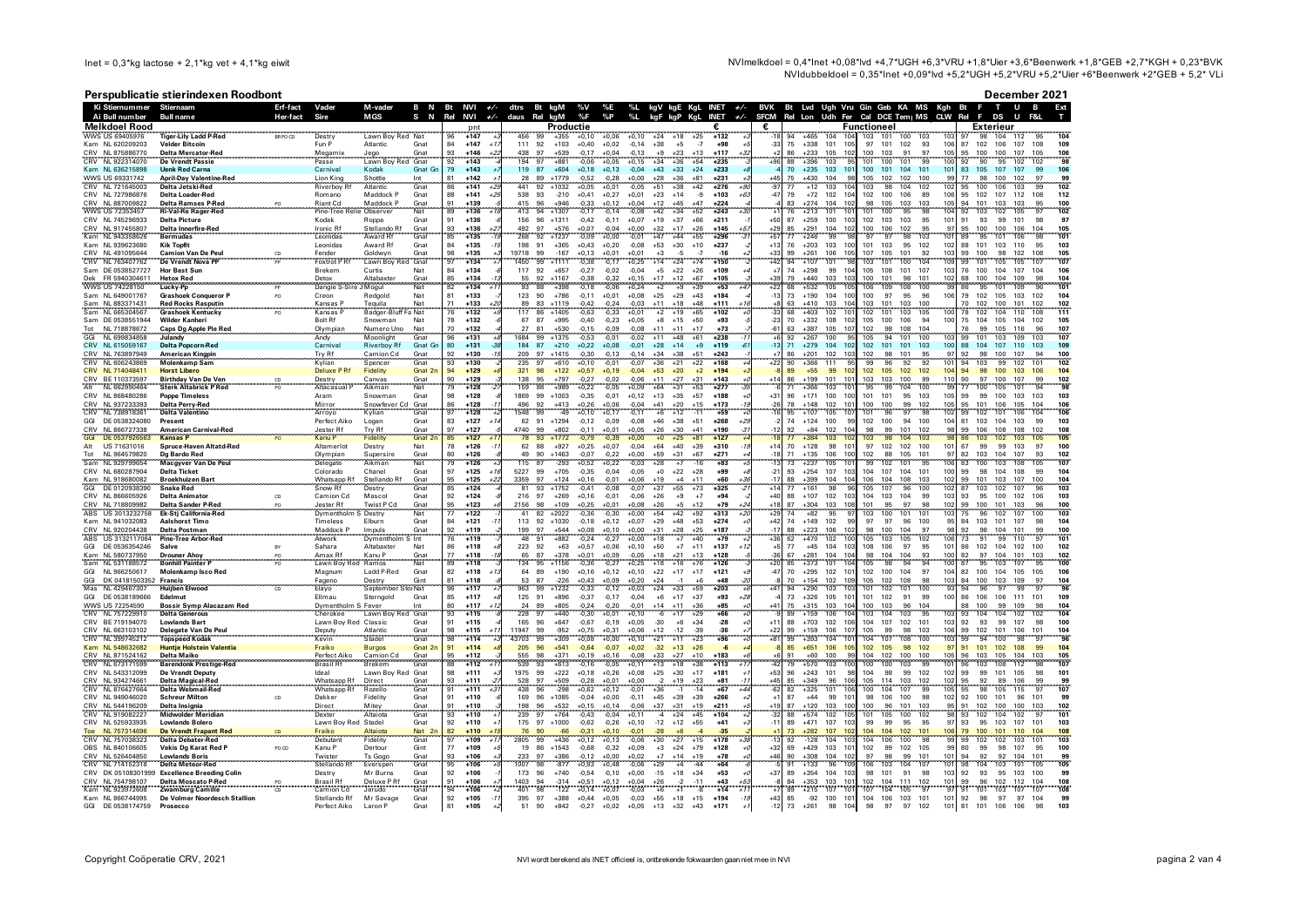NVImelkdoel = 0,4\*lnet +0,08\*lvd +4,7\*UGH +6,3\*VRU +1,8\*Uier +3,6\*Beenwerk +1,8\*GEB +2,7\*KGH + 0,23\*BVK NVIdubbeldoel = 0,35\*lnet +0,09\*lvd +5,2\*UGH +5,2\*VRU +5,2\*Uler +6\*Beenwerk +2\*GEB + 5,2\* VLi

## Perspublicatie stierindexen Roodbont

December 2021

|            |                                      | $\epsilon$ . Spublication stic intervent hold both       |                 |                           |                                          |                           |                              |       |               |                                                   |                    |                    |                                      |                                  |                          |         |                 |                                         |                                      |                              |                |                                                  |                             |                      | DEGENDEL EVE<br>ш |                               |
|------------|--------------------------------------|----------------------------------------------------------|-----------------|---------------------------|------------------------------------------|---------------------------|------------------------------|-------|---------------|---------------------------------------------------|--------------------|--------------------|--------------------------------------|----------------------------------|--------------------------|---------|-----------------|-----------------------------------------|--------------------------------------|------------------------------|----------------|--------------------------------------------------|-----------------------------|----------------------|-------------------|-------------------------------|
|            | Ki Stiernummer                       | Stiernaam                                                | Erf-fact        | Vader                     | M-vader                                  | B N                       | Bt NVI $+/-$                 |       | dtrs Bt kgM   |                                                   | %V                 | %Е                 | %L<br>$\frac{1}{2}$                  | kgV kgE KgL INET +/-             |                          |         |                 | BVK Bt Lvd Ugh Vru Gin Geb KA MS Kgh Bt |                                      |                              |                |                                                  |                             |                      | B                 | Ext                           |
|            | Ai Bull number                       | <b>Bull name</b>                                         | <b>Her-fact</b> | Sire                      | S<br><b>MGS</b>                          | N                         | Rel<br><b>NVI</b>            | $+/-$ | daus<br>Rel   | kaM                                               | %F                 | $\%P$              |                                      |                                  | <b>INET</b>              | $+/-$   | <b>SFCM</b>     | Rel Lon                                 |                                      | Udh Fer Cal DCE Tem   MS CLW |                |                                                  | Rel<br>F                    | DS                   | U                 |                               |
|            | <b>Melkdoel Rood</b>                 |                                                          |                 |                           |                                          |                           | pnt                          |       |               | Productie                                         |                    |                    |                                      |                                  | €                        |         | €               |                                         |                                      | Functioneel                  |                |                                                  |                             | Exterieur            |                   |                               |
|            | WWS US 694059<br>Kam NL 620209203    | Tiger-Lily Ladd P-Red                                    | BR PO CD        | Destry<br>Fun P           | Lawn Boy Red Nat<br>Atlantic             | Gnat                      | 96<br>$+147$<br>84<br>$+147$ |       | 456<br>111 92 | $+355$<br>$+103$                                  | $+0,10$            | $+0,06$            | $+0.10$<br>$+24$<br>$-0.14$<br>$+38$ | $+18$<br>$+25$                   | $+132$<br>$-7$<br>$+98$  |         | $-33$           | 94<br>$+465$<br>$+338$                  | 101                                  | 103<br>101<br>97             | 100<br>101 102 | 93<br>10f                                        | 87<br>102                   | 104<br>98<br>106     | 112<br>107        | 108                           |
|            | CRV NL 875886770                     | <b>Velder Bitcoin</b><br>Delta Mercator-Red              |                 |                           |                                          | Gnat                      | 93<br>$+146$                 | $+1$  | 438           | 97<br>$+539$                                      | $+0.40$<br>$-0,17$ | $+0.02$<br>$+0,04$ | $-0.13$<br>$\pm$ 9                   | $+5$<br>$+23$<br>$+13$           | $+117$                   |         |                 | 75<br>86<br>$+233$                      | 10!<br>105<br>102                    | 100<br>103                   | 91             | 97<br>105                                        | 95<br>100                   | 100                  | 107               | 109<br>105                    |
|            | CRV NL 922314070                     | <b>De Vrendt Passie</b>                                  |                 | Megamix<br>Passe          | Jego<br>Lawn Bo                          | Gnat                      | 92<br>$+143$                 |       | 194           | 97<br>$+881$                                      | $-0,06$            | $+0,05$            | $+34$<br>$+0,15$                     | $+36$                            | $+54$<br>$+235$          |         |                 | 88<br>$+396$                            | 103                                  | 101<br>100                   | 101            | 100<br>99                                        | 92                          | 95<br>90             | 102               | 102                           |
|            | Kam NL 636215898                     | <b>Uenk Red Carna</b>                                    |                 | Carnival                  | Kodak                                    | Gnat Gr                   | 79<br>$+143$                 |       | 119           | 87<br>$+604$                                      | $+0.18$            | $+0,13$            | $-0,04$<br>$+43$                     | $+33$<br>$+24$                   | $+233$                   |         |                 | 70<br>$+235$                            | 103<br>10 <sup>1</sup>               | 100                          | 101 104        | 101<br>101                                       | 83<br>105                   | 107                  | 107               | 99                            |
|            | WWS US 69331742                      | <b>April-Dav Valentine-Red</b>                           |                 | Lion King                 | Shottle<br>Int                           |                           | $+142$<br>81                 |       | 28            | 89<br>$+1779$                                     | $-0,52$            | $-0,28$            | $+0,00$<br>$+28$                     | $+36$<br>$+81$                   | $+231$                   |         | $+45$           | $+430$                                  | 104<br>98                            | 105<br>102                   | 102            | 100<br>99                                        | 77                          | 98<br>100            | 102               | 97<br>99                      |
|            | NL 721645003                         | Delta Jetski-Red                                         |                 | Riverboy                  | Atlantic                                 | Gnat                      | $+141$                       |       | 441           | 92<br>$+1032$                                     | $+0.05$            | $+0.0$             | 0.05                                 | $+42$                            | $+276$                   |         | 97              | 75<br>77<br>$+12$                       | 103                                  | 103                          |                |                                                  |                             | 106                  |                   | 102                           |
|            | CRV NL 727986876                     | Delta Loader-Red                                         |                 | Romano                    | Maddock P                                | Gnat                      | 88<br>$+141$                 | $+25$ | 538 93        | $-210$                                            | $+0,41$            | $+0,27$            | $+0,01$<br>$+23$                     | $+14$                            | $-9$<br>$+103$           | $+6$    | $-47$           | 79<br>$+72$ 102                         | 104                                  | 102<br>100                   | 106            | 106<br>89                                        | 102<br>95                   | 107                  | 112               | 108<br>112                    |
|            | CRV NL 887009822                     | <b>Delta Ramses P-Red</b>                                |                 | Riant Cd                  | Maddock P                                | Gnat                      | $+139$                       |       | 415           | 96<br>$+946$                                      | $-0,33$            |                    |                                      | $+45$<br>$+47$                   | $+224$                   |         |                 | $+274$                                  | 104<br>10:                           | 105                          | 103            | 103<br>105                                       | 94<br>101                   | 103                  | 103               |                               |
|            | <b>WWS US 72353457</b>               | <b>Ri-Val-Re Rager-Red</b>                               |                 | Pine-Tree                 | Observer                                 | Nat                       | $+136$<br>89                 |       | 413           | 94<br>$+1307$                                     | 0.17               | $-0.14$            | 0.08<br>$+42$                        | $+34$<br>$+52$                   | $+243$                   |         |                 | $+213$                                  | 101<br>10 <sup>1</sup>               | 100<br>101                   | 95             | 104                                              | 92                          | 103<br>102           | 105               | 102                           |
|            | CRV NL 745296933                     | <b>Delta Picture</b>                                     |                 | Kodak                     | Roppa                                    | Gnat                      | 91<br>$+136$                 |       | 156           | 96<br>$+1311$                                     | $-0.42$            | $-0.11$            | $+0.07$<br>$+19$                     | $+37$<br>$+66$                   | $+211$                   |         | $+50$           | 87<br>$+259$                            | 100<br>10:                           | 102<br>103                   | 103            | 95<br>10                                         | 91                          | 93<br>99             | 101               | 98                            |
|            | CRV NI 917455807                     | Delta Innerfire-Red                                      |                 | <b>Ironic Rf</b>          | Stellando Rf                             | Gnat                      | $+136$<br>93                 |       | 492<br>268    | 97<br>$+576$                                      | $+0.07$            | $-0.04$            | $+0.00$<br>$+32$                     | $+17$<br>$+26$                   | $+145$                   | +5.     | $+29$           | 85<br>$+291$                            | 104<br>102<br>99                     | 106<br>100<br>97             | 102            | 95<br>97<br>$10^{1}$                             | 100<br>95<br>R <sub>0</sub> | 100                  | 106               | 104<br>105<br><b>QS</b>       |
|            | Kam NL 943358626<br>Kam NJ 939623680 | <b>Bermudas</b><br><b>Kik Topfit</b>                     |                 | Leonidas<br>Leonidas      | Award Rf<br>Award Rf                     | Gnat<br>Gnat              | $+135$<br>85<br>84<br>$+135$ |       | 198           | 92<br>$+1237$<br>91<br>$+365$                     | $-0,09$<br>$+0.43$ | $+0,00$            | $-0,01$<br>$+47$<br>$-0.08$<br>$+53$ | $+44$<br>$+55$<br>$+30$<br>$+10$ | $+296$<br>$+237$         |         | $+57$<br>$+13$  | $+246$<br>77<br>$+203$                  | 103<br>100                           | 97<br>101<br>103             | 98<br>95       | 103<br>102<br>102                                | 88<br>101                   | 95<br>101<br>103     | 106<br>110        | 10 <sup>1</sup><br>95<br>103  |
|            | CRV NL 491095644                     | <b>Camion Van De Peul</b>                                |                 | Fender                    | Goldwyn                                  | Gnat                      | 98<br>$+135$                 |       | 19718         | 99<br>$-167$                                      | $+0.13$            | $+0.20$<br>$+0,01$ | $+0,01$<br>$+3$                      | -5                               | $-7$<br>$-16$            |         | $+33$           | 76<br>99<br>$+261$                      | 106<br>105                           | 107<br>105                   | 101            | 92<br>103                                        | 99<br>100                   | 98                   | 102               | 108<br>105                    |
|            | CRV NL 763407762                     | De Vrendt Nova PP                                        |                 | Foxtrot P Rf              | Lawn Boy Red                             | Gnat                      | 97<br>$+134$                 |       | 1450          | 99<br>$+1111$                                     | $-0.38$            | $-0,17$            | $+14$<br>$+0.25$                     | $+74$<br>$+24$                   | $+150$                   |         | $+42$           | 94<br>$+107$                            | 101                                  | 103<br>101                   | 100            | 109<br>104                                       | 99<br>101                   | 105                  | 105               | 107<br>107                    |
|            | Sam DE 0538527727                    | <b>Hor Best Sun</b>                                      |                 | <b>Brekem</b>             | Curtis<br>Nat                            |                           | $+134$<br>84                 |       | 117           | 92<br>$+657$                                      | $-0,27$            | $-0.02$            | $+5$<br>$-0.04$                      | $+22$<br>$+26$                   | $+109$                   |         | $+7$            | 74<br>$+298$                            | 99<br>10 <sub>4</sub>                | 105<br>108                   | 101            | 107<br>103                                       | 76<br>100                   | 104                  | 107               | 104<br>106                    |
| Dek        | FR 5940304611                        | <b>Hetox Red</b>                                         |                 | Detox                     | Altabaxter                               | Gnat                      | 85<br>$+134$                 |       | 55            | 92<br>$+1167$                                     | $-0.38$            | $-0.32$            | $+17$<br>$+0.15$                     | $+67$<br>$+12$                   | $+105$                   |         | $+39$           | 79<br>$+440$                            | 103<br>10 <sup>1</sup>               | 100<br>101                   | 98             | 102<br>101                                       | 88<br>100                   | 104                  | 109               | 98<br>104                     |
|            | <b>WWS US 74228150</b>               | Lucky-Pp                                                 |                 | Dangie                    | Mogul<br>Nat                             |                           | $+134$                       |       | 93            | 88                                                |                    |                    | $+0,24$                              | $+39$                            | $+53$                    |         |                 | $+532$                                  | 105<br>10                            | 106<br>109                   | 108            |                                                  |                             |                      |                   | 101                           |
|            | Sam NJ 649001767                     | <b>Grashoek Conqueror F</b>                              | PO              | Creon                     | Redgold<br>Nat                           |                           | 81<br>$+133$                 |       | 123 90        | $+786$                                            | $-0.11$            | $+0.01$            | $+0.08$<br>$+25$                     | $+29$<br>$+43$                   | $+184$                   |         | $-13$           | 73<br>$+190$                            | 104<br>100                           | 97<br>100                    | 95             | 96<br>106                                        | 79<br>102                   | 105                  | 103               | 102<br>104                    |
|            | Sam NL 883371431                     | <b>Red Rocks Rasputin</b>                                |                 | Kansas                    | Tequila<br>Nat                           |                           | 71<br>$+133$                 |       | 89            | $+1119$<br>83                                     | $-0,42$            | $-0,24$            | $-0,03$<br>$+11$                     | $+18$<br>$+48$                   | $+111$                   |         | $\frac{+8}{33}$ | 63<br>$+410$                            | 103<br>10 <sup>4</sup>               | 103<br>101                   | 103            |                                                  | 70<br>102                   | 100                  | 101               |                               |
|            | Sam NL 665304567                     | <b>Grashoek Kentucky</b>                                 |                 | Kansas                    | Badger-Bluff<br>a Nat                    |                           | $+132$<br>76                 |       | 117           | 86<br>$+1405$                                     | 0.63               | $-0.33$            | $+0.01$<br>$^{+2}$                   | $+65$<br>$+19$                   | $+102$                   |         |                 | 68<br>$+403$                            | 10 <sup>1</sup><br>102               | 102<br>101                   | 103            | 105<br>100                                       | 78                          | 102<br>104           | 110               | 108<br>111                    |
|            | Sam DE 0538551944                    | Wilder Kanheri                                           |                 | <b>Bolt Rf</b>            | Snowman<br>Nat                           |                           | 78<br>$+132$                 |       | 67 87         | $+995$                                            | $-0,40$            | $-0,23$            | $+0,05$<br>$^{\rm +8}$               | $+15$<br>$+50$                   | $+93$                    |         | $-23$           | 70<br>$+332$                            | 108<br>102                           | 105<br>100                   | 106            | 94<br>100                                        | 75<br>104                   | 105                  | 104               | 102<br>105                    |
| Tot        | NI 718878672                         | Caps Dg Apple Pie Red                                    |                 | Olympian                  | Numero Uno<br>Nat                        |                           | 70<br>$+132$                 |       | 27            | 81<br>$+530$                                      | $-0.15$            | $-0.09$            | $+11$<br>$-0.08$                     | $+11$<br>$+17$                   | $+73$                    |         | $-61$           | 63<br>$+387$                            | 105<br>107                           | 102<br>98                    | 108            | 104                                              | 76                          | 99<br>105            | 116               | 96<br>107                     |
| GGI        | NL 699834858                         | Julandy                                                  |                 | Andy                      | Moonlight                                | Gnat                      | $+131$<br>96                 |       | 684           | 99<br>$+1375$                                     | $-0,53$            | $-0.01$            | $-0,02$<br>$+11$                     | $+48$<br>$+61$                   | $+238$                   |         | $+6$            | 92<br>$+267$                            | 100<br><b>QF</b>                     | 94<br>105                    | 101            | 100<br>10 <sup>2</sup>                           | 99<br>101                   | 103                  | 109               | 107<br>103                    |
|            | CRV NI 615059167<br>CRV NL 763897949 | <b>Delta Popcorn-Red</b>                                 |                 | Carnival<br>Try Rf        | <b>Riverboy Rf</b><br>Camion Cd          | Gnat Gr<br>Gnat           | 80<br>$+131$<br>92<br>$+130$ |       | 184<br>209    | 87<br>$+210$<br>97<br>$+1415$                     | $+0.22$<br>$-0,30$ | $+0.08$<br>$-0,13$ | $-0.01$<br>$+28$<br>$-0,14$<br>$+34$ | $+14$<br>$+38$<br>$+51$          | $+9$<br>$+119$<br>$+243$ |         | $-13$           | 71<br>$+279$<br>86<br>$+201$            | 104<br>102<br>102<br>103             | 102<br>101<br>102<br>98      | 101<br>101     | 103<br>100<br>97<br>95                           | 88<br>104<br>92             | 107<br>98<br>100     | 110<br>107        | 103<br>109<br>94<br>100       |
|            | CRV NL 606243869                     | <b>American Kingpin</b><br><b>Molenkamp Sam</b>          |                 | Kylian                    | Spencer                                  | Gnat                      | 93<br>$+130$                 |       | 235           | 97<br>$+610$                                      | $+0.10$            | $-0.01$            | $+36$<br>$-0.07$                     | $+21$<br>$+22$                   | $+168$                   |         | $+22$           | 90<br>$+366$                            | 111<br><b>gr</b>                     | 96<br>99                     | 92             | 92<br>101                                        | 94<br>103                   | 99                   | 102               | 101<br>102                    |
|            | CRV NL 714048411                     | <b>Horst Libero</b>                                      |                 | <b>Deluxe PRf</b>         | Fidelity                                 | Gnat 2r                   | 94<br>$+129$                 |       | 321           | 98<br>$+122$                                      | $+0.57$            | $+0.19$            | $-0.04$<br>$+53$                     | $+20$                            | $+2$<br>$+194$           |         |                 | 89<br>$+55$                             | 99<br>102                            | 102<br>105                   | 102            | 104<br>102                                       | 94                          | 98<br>100            | 103               | 106<br>10 <sub>4</sub>        |
|            | CRV BE 110373597                     | <b>Birthday Van De Ven</b>                               |                 | Destry                    | Canvas                                   | Gnat                      | 90<br>$+129$                 |       | 138           | 95<br>$+797$                                      | $-0.27$            | $-0.02$            | $-0.06$<br>$+11$                     | $+27$<br>$+31$                   | $+143$                   |         | $+14$           | 86<br>$+199$                            | 101<br>10 <sup>1</sup>               | 103<br>103                   | 100            | 99<br>110                                        | 90<br>97                    | 100                  | 107               | 99<br>102                     |
|            | NL 662990464                         | <b>Sterk Altabrick P Red</b>                             |                 | .<br>Altacasual           | Aikman                                   | Nat                       | 79<br>$+128$                 |       | 159           | +989                                              | $+0,22$            |                    | $+0,09$                              |                                  | $+277$                   |         |                 |                                         |                                      |                              |                |                                                  |                             |                      |                   |                               |
|            | CRV NL 868480286                     | <b>Poppe Timeless</b>                                    |                 | Aram                      | Snowman                                  | Gnat                      | 98<br>$+128$                 |       | 1869          | 99<br>$+1003$                                     | $-0.35$            | $-0.01$            | $+0.12$<br>$+13$                     | $+35$<br>$+57$                   | $+188$                   |         | $+31$           | 96<br>$+171$                            | 100<br>100                           | 101<br>101                   | 95             | 103<br>105                                       | 99                          | 99<br>100            | 103               | 103<br>103                    |
|            | CRV NL 937233393                     | Delta Perry-Red                                          |                 | Mirror<br>Arroyo          | Snowfever Cd Gnat<br>Kylian Gnat         |                           | $+128$<br>86                 |       | 496           | $\frac{92}{99}$<br>$+413$<br>$-49$                | $+0,26$            | $+0.06$            | $-0,04$<br>$+41$                     | $+20$<br>$+15$                   | $+173$                   |         | $-26$           | 78<br>$+148$                            | 102<br>10 <sup>1</sup>               | 100<br>100                   | 99             | 10 <sub>5</sub><br>102                           | 95<br>101                   | 106                  | 105               | 104                           |
| <b>CRV</b> | NL 738918361                         | <b>Delta Valentino</b>                                   |                 |                           |                                          |                           | 97<br>$+128$                 |       | 548           |                                                   | $+0,10$            | $+0,17$            | $-0.11$<br>$+6$                      | $+12$                            | <b>ARC</b><br>$-11$      |         |                 | $+107$<br>95                            | 105<br>10                            | 96<br>101                    | 97             | 102                                              | 99                          | 101<br>102           | 106               |                               |
| GGI        | DE 0538324080                        | Present                                                  |                 | Perfect Aiko              | Logan                                    | Gnat                      | 83<br>$+127$                 |       | 62            | 91<br>$+1294$                                     | $-0.12$            | $-0.09$            | $-0,08$<br>$+46$                     | $+38$<br>$+51$                   | $+268$                   |         |                 | 74<br>$+124$                            | 100<br>99                            | 102<br>100                   | 94             | 100<br>10 <sub>4</sub>                           | 81<br>103                   | 104                  | 103               | 99<br>103                     |
|            | CRV NL 866727338                     | <b>American Carnival-Red</b>                             |                 | Jester Rf<br>Kanu P       | Try Rf                                   | Gnat<br>Gnat 2            | 97<br>$+127$                 |       | 4740<br>78    | 99<br>$+802$                                      | $-0.11$            | $+0.01$            | $+0.05$<br>$+26$                     | $+30$<br>+41                     | $+190$                   |         |                 | 92<br>$+84$                             | 102<br>10 <sub>1</sub>               | 98<br>99                     | 101            | 102                                              | 99<br>106                   | 108                  | 108               |                               |
| <b>GGI</b> | DE 053792656<br>Alt US 71631016      | <b>Kansas P</b><br>Spruce-Haven Altatd-Red               |                 | Altamerlot                | Destry                                   | Nat                       | 85<br>$+127$<br>78<br>$+126$ |       | 62 88         | $+1772$<br>93<br>$+927$                           | $-0.79$<br>$+0.25$ | $+0.07$            | $+64$<br>$-0.04$                     | $+40$<br>$+39$                   | $+127$<br>$+310$         |         | $+14$           | $+128$<br>70                            | 103<br>98<br>10 <sup>°</sup>         | 97<br>102                    | 102            | 101<br>100                                       | 67                          | 99<br>99             | 103               | 97<br>100                     |
| Tot        | NL 964579820                         |                                                          |                 |                           |                                          |                           | 80<br>$+126$                 |       | 49            | 90<br>$+1463$                                     | $-0,07$            | $-0.22$            | $+0,00$<br>$+59$                     | $+31$<br>$+67$                   | $+271$                   |         | $-18$           | 71<br>$+135$                            | 106<br>100                           | 102<br>88                    | 105            | 101<br>$Q^{\pi}$                                 | 82<br>103                   | 104                  | 107               | 93<br>102                     |
|            | Sam NL 929799654                     | Dg Bardo Red<br>Macgyver Van De Peul                     |                 | Olympian<br>Delegate      | Supersin<br>Aikman                       | Gnat<br>Nat               | 79<br>$+126$                 |       | 115           | 87<br>$-293$                                      | $+0,52$            | $+0.22$            | $+28$<br>$-0.03$                     |                                  | $-16$<br>$+83$           |         |                 | $+237$                                  | 105<br>10                            | 99<br>102                    | 101            | `qr                                              | 83                          |                      |                   | 107                           |
|            | CRV NL 680287904                     | <b>Delta Ticket</b>                                      |                 | Colorado                  | Chanel                                   | Gnat                      | 97<br>$+125$                 |       | 5227          | 99<br>$+705$                                      | $-0,35$            | $-0.04$            | $-0.05$<br>$+0$                      | $+22$<br>$+28$                   | $+99$                    |         | $-21$           | 93<br>$+254$                            | 107<br>10:                           | 104<br>107                   | 104            | 100<br>101                                       | 99                          | 98<br>104            | 108               | 99<br>104                     |
|            | Kam NJ 918680082                     | Broekhuiz en Bart                                        |                 | Whatsapp Rf               | Stellando Rf                             | Gnat                      | $+125$<br>95                 | $+2$  | 3359          | 97<br>$+124$                                      | $+0.16$            | $-0.01$            | $+0.06$<br>$+19$                     | $+4$<br>$+11$                    | $+60$                    | $+3i$   | $-17$           | 88<br>$+399$                            | 104<br>104                           | 106<br>104                   | 108            | 103<br>102                                       | 99<br>101                   | 103                  | 107               | 100<br>104                    |
| GGI        | DE 012093839                         | <b>Snake Red</b>                                         |                 | Snow Rt                   | Destry                                   | Gnat                      | 85<br>$+124$                 |       | 81            | 93<br>$+1752$                                     | $-0.41$            | $-0.08$            | $-0.07$<br>$+37$                     | $+55$<br>$+73$                   | $+325$                   |         | $+14$           | 77<br>$+161$                            | 98<br>90                             | 105<br>107                   | 96             | 100<br>102                                       | 87<br>103                   | 102                  | 107               | 96<br>103                     |
|            | CRV NI 866605926                     | <b>Delta Animator</b>                                    | cn              | Camion Cd                 | Mascol                                   | Gnat                      | 92<br>$+124$                 |       | 216 97        | $+269$                                            | $+0.16$            | $-0.01$            | $-0.06$<br>$+26$                     | $+9$                             | $+7$<br>$+94$            |         | $+40$           | $+107$<br>88                            | 102<br>102                           | 103<br>104                   | 104            | 10 <sup>5</sup><br>99                            | 93                          | 95<br>100            | 102               | 106<br>103                    |
|            | CRV NL 718809982                     | Delta Sander P-Red                                       |                 | Jester Rf                 | Twist P Cd                               | Gnat                      | 95<br>$+123$                 |       | 2156          | 98<br>$+109$                                      | $+0.25$            | $+0,01$            | $+0.08$<br>$+26$                     | $+12$<br>$+5$                    | $+79$                    | $^{+2}$ | $+18$           | 87<br>$+304$                            | 103<br>108                           | 101<br>95                    | 97             | 98<br>102                                        | 99<br>100                   | 101                  | 103               | 96<br>100                     |
|            | ABS US 3013232758                    | Ek-Stj California-Red                                    |                 | Dymentholm S Destry       |                                          | Nat                       | 77<br>$+122$                 |       | 41            | 82<br>$+2022$                                     | $-0,36$            | $-0.30$            | $+54$<br>$+0,00$                     | $+92$<br>$+42$                   | $+313$                   | 42      | $+29$           | $+82$<br>74                             | 95                                   | 103<br>100                   | 101            | 103<br>101                                       | 75                          | 96<br>102            | 107               | 100<br>103                    |
|            | Kam NL 941032083                     | <b>Aalshorst Timo</b>                                    |                 | Timeless                  | Elburn                                   | Gnat                      | 84<br>$+121$                 |       | 113 92        | $+1030$                                           | $-0,18$            | $+0,12$            | $+0,07$<br>$+29$                     | $+48$<br>$+53$                   | $+274$                   |         | $+42$           | 74<br>$+149$                            | 102<br>99                            | 97<br>97                     | 96             | 100<br>95                                        | 84<br>103                   | 101                  | 107               | 98<br>104                     |
|            | CRV NI 920204438                     | Delta Postman                                            |                 | Maddock P                 | Impuls                                   | Gnat                      | $+119$<br>92                 |       | 199           | 97<br>$+544$                                      | $+0.08$            | $+0.10$            | $+0.00$<br>$+31$                     | $+28$<br>$+25$                   | $+187$                   |         | $-17$           | 88<br>$+223$                            | 106<br>102                           | 100<br>98                    | 104            | 97<br>۹۶                                         | 92                          | 104<br>98            | 101               | 100<br>99                     |
| GGI        | ABS US 3132117064<br>DE 0536354246   | <b>Pine-Tree Arbor-Red</b><br>Salve                      |                 | Atwork<br>Sahara          | Dymentholn<br>S Int<br>Altabaxter<br>Nat |                           | $+119$<br>86<br>$+118$       |       | 48<br>223 92  | 91<br>$+882$<br>$+63$                             | $-0,24$<br>$+0.57$ | $-0,27$<br>$+0.06$ | $+0.00$<br>$+18$<br>$+50$<br>$+0.10$ | $+40$<br>$+7$<br>$+7$<br>$+11$   | $+79$<br>$+137$          |         | $+36$<br>$+5$   | 62<br>$+470$<br>77<br>$+45$             | 102<br>10<br>104<br>103              | 105<br>103<br>108<br>106     | 105<br>97      | 10 <sup>10</sup><br>102<br>95<br>10 <sub>1</sub> | 73<br>102<br>86             | 99<br>104            | 110<br>102        | 10 <sup>1</sup><br>100<br>102 |
|            | NI 580737950                         |                                                          |                 |                           |                                          |                           | $+118$<br>77                 |       | 65            | 87<br>$+378$                                      | $+0.01$            | $+0.09$            | $-0.05$<br>$+18$                     |                                  | $+128$                   |         |                 | 67<br>-281                              | 104<br>10                            | 98<br>104                    | 104            | 10 <sub>1</sub>                                  |                             | 104<br>97            | 101               | 103                           |
|            | Sam NL 531188572                     | <b>Drouner Ahoy</b><br><b>Bonhill Painter P</b>          |                 | Amax Rf<br>Lawn Boy       | Kanu P<br>Ramos                          | Gnat<br>Nat               | $+118$<br>ġč                 |       |               | 95<br>$+1156$                                     | $-0.36$            | $-0.27$            | $+0.25$                              | $^{+21}_{+16}$<br>$+76$          | $+126$                   |         | $+20$           | 85<br>$+373$                            | 101<br>10                            | 98<br>105                    | 94             | 10 <sub>0</sub>                                  | $_{\rm 87}$                 | 103                  | 107               | 100                           |
| GGI        | NL 966250617                         | Molenkamp Isco Red                                       |                 | Magnum                    | Ladd P-Red                               | Gnat                      | 82<br>$+118$                 |       | 64            | 89<br>$+190$                                      | $+0.16$            | $+0.12$            | $+0.10$<br>$+22$                     | $+17$<br>$+17$                   | $+121$                   |         | $-47$           | 70<br>$+295$                            | 102<br>10'                           | 102<br>100                   | 104            | 104<br>97                                        | 82<br>100                   | 104                  | 105               | 105                           |
| GGI        | DK 04181503352 Francis               |                                                          |                 | Fageno                    | Destry                                   | Gint                      | $+118$<br>81                 |       | 53            | 87<br>$-226$                                      | $+0.43$            | $+0.09$            | $+0.20$<br>$+24$                     | $-1$                             | $+6$<br>$+48$            |         | -8              | 70<br>$+154$                            | 109<br>102                           | 105<br>102                   | 108            | 103<br>98                                        | 100<br>84                   | 103                  | 109               | 97<br>104                     |
| Mas        | NL 429467307                         | <b>Huijben Elwood</b>                                    |                 | Elayo                     | September Stor Nat                       |                           | 96<br>$+117$                 |       | 963           | 99<br>$+1232$                                     | $-0,33$            | $-0,12$            | $+0,03$<br>$+24$                     | $+33$<br>$+59$                   | $+203$                   |         | $+41$           | 94<br>$+290$                            | 10 <sup>2</sup><br>103               | 101<br>102                   | 101            | 9:<br>100                                        | 94<br>96                    | 97                   | 99                | 97<br>96                      |
| GGI        | DE 0538189666                        | Edelmut                                                  |                 | Filmau                    | Sterngold                                | Gnat                      | 85<br>$+117$                 |       | 125 91        | $+896$                                            | $-0.37$            | $-0,17$            | $-0.04$<br>$+6$                      | $+17$<br>$+37$                   | $+93$                    | $+28$   |                 | 73<br>$+326$                            | 105<br>10'                           | 101<br>102                   | 91             | 99<br>100                                        | 86<br>106                   | 106                  | 111               | 101<br>109                    |
|            | WWS US 72254590                      | <b>Bossir Symp Alacazam Red</b>                          |                 | Dymentholm S Fever        | Int                                      |                           | $+117$<br>80                 |       | 24            | 89<br>$+805$                                      | $-0,24$            | $-0,20$            | $-0,01$<br>$+14$                     | $+11$<br>$+36$                   | $+85$                    |         | $+41$           | 75<br>$+315$                            | 103<br>104                           | 100<br>103                   | 96             | 104                                              | 88<br>100                   | 99                   | 109               | 98<br>104                     |
|            | CRV NL 757229910                     | Delta Generous                                           |                 | Cherokee                  | Lawn Boy Red Gnat                        |                           | 93<br>$+115$                 |       | 228           | 97<br>$+440$                                      | $-0.30$            | $+0.01$            | $+0.10$<br>-6                        | $+17$<br>$+29$                   | $+66$                    |         |                 | 89<br>$+159$                            | 106<br>104                           | 104<br>103                   | 103            | 95<br>10:                                        | 93                          | 104<br>104           | 102               | 102<br>104                    |
|            | CRV BE 719194070                     | <b>Lowlands Bart</b>                                     |                 | Lawn Bov Red              | Classic                                  | Gnat                      | 91<br>$+115$                 |       | 165           | 96<br>$+647$                                      | $-0,67$            | $-0.19$            | $-30$<br>$+0.05$<br>$+12$            | $+34$<br>$+6$                    | $-28$                    |         | $+11$           | 88<br>$+703$                            | 102<br>106                           | 104<br>107                   | 102            | 101<br>103                                       | 92<br>99<br>102             | 93<br>99<br>101      | 107               | 98<br>100                     |
|            | CRV NL 663103102                     | Delegate Van De Peul                                     |                 | Deputy                    | Atlantic                                 | Gnat                      | $+115$<br>98                 |       | 11947         | 99<br>$-952$                                      | $+0,75$            | $+0,31$            | $+0,06$                              | $-12$                            | $-39$<br>$-36$           |         | $+22$           | 99<br>$+159$                            | 107<br>106                           | 105<br>99                    | 98             | 103<br>106                                       | 99                          | 94                   | 106<br>98         | 101<br>104                    |
|            | CRV NL 399745212<br>Kam NI 548632682 | <b>Topspeed Kodak</b><br><b>Huntie Holstein Valentia</b> |                 | Kevin<br>Fraiko           | Stadel                                   | Gnat<br>Gnat <sub>2</sub> | 98<br>$+114$<br>91<br>$+114$ |       | 43703<br>205  | 99<br>$+309$<br>96<br>$+541$                      | $+0,08$<br>$-0.64$ | $+0,00$<br>$-0.07$ | $+0,10$<br>$+21$<br>$+0.02$<br>$-32$ | $+23$<br>$+11$<br>$+13$<br>$+26$ | $+96$<br>$-6$            |         | $+81$           | $+393$<br>99<br>85<br>$+651$            | 104<br>10 <sup>1</sup><br>106<br>105 | 104<br>107<br>102<br>105     | 108<br>98      | 103<br>100<br>97<br>102                          | 91<br>101                   | 100<br>102           | 108               | 99<br>104                     |
|            | CRV NL 871524162                     | Delta Maiko                                              |                 |                           | <b>Burgos</b>                            |                           | $+112$                       |       |               | $+371$                                            |                    | $+0.16$            |                                      | $+27$<br>$+10$                   | $+183$                   |         |                 | Q <sub>1</sub><br>+60                   | 100<br><b>Q</b>                      | 104<br>102                   | 100            | 100                                              | 103                         | 105                  | 104               |                               |
|            | CRV NL 673171599                     | Barendonk Prestige-Red                                   |                 | Perfect Aiko<br>Brasil Rf | Camion Cd<br>Brekem                      | Gnat<br>Gnat              | 95<br>88<br>$+112$           |       | 555<br>539    | $\begin{array}{c} 98 \\ 93 \end{array}$<br>$+613$ | $+0,19$<br>$-0.16$ | $-0.05$            | $-0,08$<br>$+33$<br>$+13$<br>$+0.11$ | $+38$                            | $+113$                   |         |                 | $+570$                                  | 100<br>103                           | 100<br>100                   | 103            | $\frac{105}{10}$<br>99                           | $\frac{96}{96}$<br>103      |                      |                   | 107                           |
|            | CRV NL 543312099                     | <b>De Vrendt Deputy</b>                                  |                 | Ideal                     | Lawn Boy Red                             | Gnat                      | 98<br>$+111$                 |       | 1975 99       | $+222$                                            | $+0,18$            | $+0,26$            | $+0,08$<br>$+25$                     | $+30$<br>$+17$                   | $+181$                   |         | $+53$           | 96<br>$+243$                            | 101<br>98                            | 104<br>98                    | 99             | 102<br>102                                       | 99                          | 99<br>101            | 105               | 98<br>10 <sup>1</sup>         |
|            | CRV NL 934274661                     | Delta Magical-Red                                        |                 | Whatsann Rf               | Direct                                   | Gnat                      | 93<br>$+111$                 |       | 528           | 97<br>$+509$                                      | $-0.28$            | $+0.01$            | $+0.00$<br>$-2$                      | $+19$<br>$+23$                   | $+81$                    |         | $+45$           | 85<br>$+349$                            | 96<br>10f                            | 105<br>114                   | 103            | 102<br>102                                       | 95                          | 92<br>89             | 106               | 99<br>99                      |
|            | CRV NL 876427664                     | Delta Webmail-Red                                        |                 | Whatsapp Rf               | Rozello                                  | Gnat                      | 9 <sub>1</sub><br>$+111$     |       | 438           | 96<br>$-298$                                      | $+0,62$            | $+0,12$            | $-0.0$                               |                                  | +67                      |         | .es             | 82<br>$+325$                            | 101<br>10                            | 100<br>104                   | 107            | qc<br>105                                        | <b>QR</b>                   | 105                  | 115               | 107                           |
|            | CRV NI 949046020                     | <b>Schreur Milton</b>                                    | cn              | Dakker                    | Fidelity                                 | Gnat                      | 91<br>$+110$                 |       | 169           | 96<br>$+1085$                                     | $-0.04$            | $+0.00$            | $-0.11$<br>$+45$                     | $+39$<br>$+39$                   | $+266$                   |         | $+1$            | 87<br>$+44$                             | 99<br>10'                            | 98<br>106                    | 100            | 98<br>102                                        | 92<br>100                   | 101                  | 96                | 101<br>99                     |
|            | CRV NL 544196209                     | Delta Insignia                                           |                 | Direct                    | Mitey<br>Altaiota                        | Gnat                      | $+110$<br>91                 |       | 198           | 96<br>$+532$                                      | $+0.15$            | $+0.14$            | $+37$<br>$-0.06$                     | $+31$<br>$+19$                   | $+211$                   |         | $+19$           | 87<br>$+120$                            | 103<br>100                           | 96<br>100                    | 101            | 95<br>103                                        | 91<br>102                   | 100                  | 100               | 102                           |
|            | CRV NL 919082227                     | <b>Midwolder Meridian</b>                                |                 | Dexter                    |                                          | Gnat                      | 93<br>$+110$                 |       | 239           | 97<br>$+764$                                      | $-0,43$            | $-0,04$            | $+0.11$                              | $+24$<br>$+45$                   | $+104$                   |         | $-32$           | 88<br>$+574$                            | 102<br>105                           | 101<br>105                   | 100            | 98<br>102                                        | 93                          | 102<br>104           | 102               | 97<br>10 <sup>1</sup>         |
|            | CRV NL 525933935                     | <b>Lowlands Bolero</b>                                   |                 | Lawn Boy Red Stadel       |                                          | Gnat                      | 92<br>$+110$                 |       | 175           | 97<br>$+1000$                                     | $-0,62$            | $-0,26$            | $+0,10$<br>$-12$                     | $+12$<br>$+55$                   | $+41$                    |         | $-11$           | 89<br>$+471$                            | 107<br>10:                           | 99<br>99                     | 95             | 95<br>97                                         | 93                          | 95<br>103            | 107               | 101<br>103                    |
| Toe        | NL 757314696                         | <b>De Vrendt Frapant Red</b>                             | CD              | Fraiko                    | Altaiota                                 | Nat 2r                    | $+110$<br>82                 |       | 76            | 90<br>$-66$                                       | $-0.31$            | $+0,10$            | $-0.01$<br>$-28$                     | $+6$                             | $-35$                    |         | $+1$            | 73<br>$+282$                            | 107<br>10                            | 104<br>104                   | 102            | 101<br>106                                       | 79<br>100                   | 101                  | 110               | 104<br>108                    |
|            | CRV NL 757038323                     | <b>Delta Debater-Red</b>                                 |                 | Debutant                  | Fidelity                                 | Gnat                      | $+109$                       |       | 2805          | 99<br>+436                                        | $+0.12$            | $+0.13$            | $+30$<br>$-0.06$                     | $+27$<br>$+15$                   | $+178$                   |         | $-13$           | 92<br>$-128$                            | 104<br>10                            | 106<br>104                   | 100            | 98<br>99                                         | 99                          | 102<br>102           | 103               | 103<br>101                    |
|            | OBS NL 840106605                     | <b>Vekis Do Karat Red P</b>                              | PO CD           | Kanu P                    | Dertour                                  | Gint                      | 77<br>$+109$                 |       | 19 86<br>233  | $+1543$<br>97                                     | $-0.68$            | $-0.32$            | $+3$<br>$+0.09$<br>$+7$              | $+79$<br>$+24$<br>$+14$<br>$+19$ | $+128$                   |         | $+32$           | 69<br>$+429$<br>$+308$                  | 103<br>10 <sup>1</sup>               | 102<br>99<br>97<br>98        | 102            | 99<br>105<br>101                                 | 80<br>$Q_{\Delta}$          | 99<br>98<br>92<br>92 | 107               | 95<br>100<br>101              |
|            | CRV NL 526404850<br>CRV NL 714152318 | <b>Lowlands Boris</b><br><b>Delta Meteor-Rec</b>         |                 | Twister<br>Stellando R    | Ts Gogo<br>Everspen                      | Gnat<br>Gnat              | 93<br>$+106$<br>95<br>$+106$ |       | 1007          | $+386$<br>98<br>$-877$                            | $-0,12$<br>$+0.93$ | $+0.00$<br>$+0.48$ | $+0.02$<br>$-0.06$<br>$+29$          | $+4$                             | $+78$<br>$-44$<br>$+64$  |         | $+46$           | 90<br>Q <sub>1</sub><br>$+133$          | 104<br>10.7<br>96<br>109             | 106<br>103                   | 99<br>104      | 101<br>101<br>107                                | 98                          | 104<br>103           | 104<br>101        | 105<br>105                    |
|            | CRV DK 05108301999                   | <b>Excellence Breeding Colin</b>                         |                 | Destry                    | Mr Burns                                 | Gnat                      | 92<br>$+106$                 |       | 173 96        | $+740$                                            | $-0,54$            | $-0,10$            | $+0,00$<br>$-15$                     | $+18$<br>$+34$                   | $+53$                    |         | $+37$           | 89<br>$+354$                            | 104<br>103                           | 98<br>101                    | 91             | 98<br>103                                        | 92                          | 93<br>95             | 103               | 100                           |
|            | CRV NI 754798107                     | <b>Delta Moscato P-Red</b>                               |                 | <b>Brasil Rt</b>          | Deluxe P Rf                              | Gnat                      | $+106$<br>91                 |       | 1403          | 94<br>$-314$                                      | $+0.51$            | $+0.12$            | $+0.04$<br>$+26$                     | $-11$                            | $+43$                    |         |                 | 84<br>$+353$                            | 103<br>10 <sup>1</sup>               | 102<br>104                   | 111            | 10 <sup>1</sup><br>102                           | 99                          | 96<br>102            | 112               | 104<br>108                    |
|            | NL 923972608                         | Zwamburg Camille                                         |                 | Camion Co                 | Jerudo                                   | Gnat                      | $+106$                       |       | 401           | 98<br>$-122$                                      | $+0.14$            | $+0.0$             | 0,03                                 |                                  | $+14$                    |         |                 | 89<br>$+215$                            | 107<br>10                            | 104                          | 105            | $\overline{9}$                                   | 91<br>101                   | 103                  |                   | 107                           |
|            | Kam NL 866744995                     | De Volmer Noordesch Stallion                             |                 | Stellando Rf              | Mr Savage                                | Gnat                      | 92<br>$+105$                 |       | 395 97        | $+388$                                            | $+0,44$            | $+0.05$            | $-0.03$<br>$+55$                     | $+18$<br>$+15$                   | $+194$                   |         | $+43$           | 85<br>$-92$                             | 101<br>100                           | 104 106                      | 103            | 101<br>10 <sup>1</sup>                           | 98<br>92                    | 97                   | 97                | 104                           |
| GGI        | DE 0538174759                        |                                                          |                 | Perfect Aiko              | Laron P                                  | Gnat                      | 81<br>$+105$                 |       | 51            | 90<br>$+842$                                      | $-0.27$            | $+0.02$            | $+0.05$<br>$+13$                     | $+32$<br>$+43$                   | $+171$                   |         | $-12$           | 73<br>$+261$                            | 98<br>104                            | 97<br>98                     | 97             | 102                                              | 101 81<br>101               | 106                  | 106               |                               |
|            |                                      |                                                          |                 |                           |                                          |                           |                              |       |               |                                                   |                    |                    |                                      |                                  |                          |         |                 |                                         |                                      |                              |                |                                                  |                             |                      |                   |                               |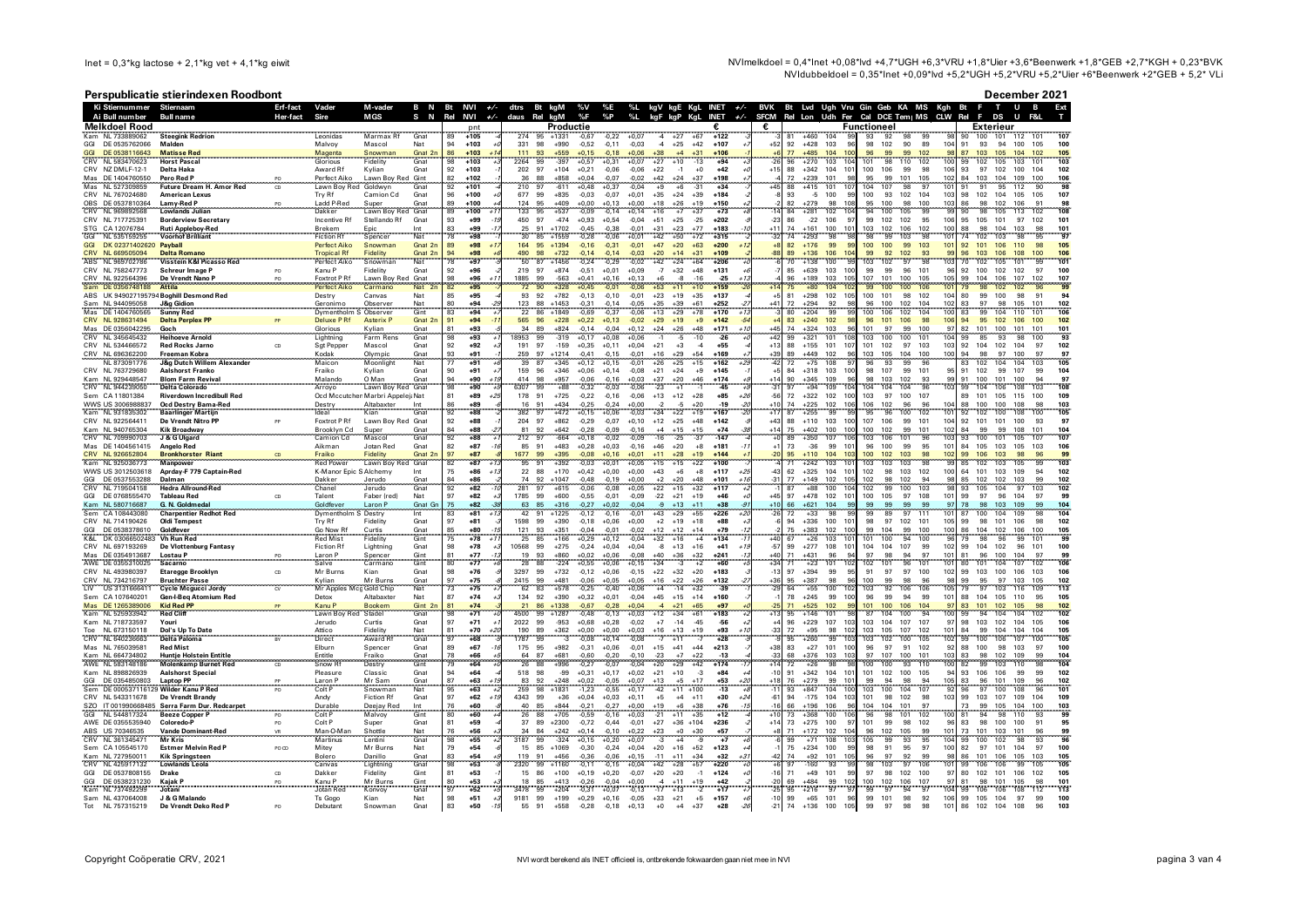NVImelkdoel = 0,4\*lnet +0,08\*lvd +4,7\*UGH +6,3\*VRU +1,8\*Uier +3,6\*Beenwerk +1,8\*GEB +2,7\*KGH + 0,23\*BVK NVIdubbeldoel = 0,35\*lnet +0,09\*lvd +5,2\*UGH +5,2\*VRU +5,2\*Uler +6\*Beenwerk +2\*GEB + 5,2\* VLi

## Perspublicatie stierindexen Roodbont

| December 2021 |
|---------------|
|---------------|

|                          | Ki Stiernummer Stiernaam               |                                                               | Erf-fact | Vader                                     | M-vader<br>B N<br>S<br>N                             | Bt<br>NVI<br>Rel                                 | $+/-$           | dtrs          | Bt kgM                        | %V<br>%F           | %Е<br>$\frac{9}{6}P$ | %L<br>$\frac{1}{2}$                  | kgV kgE KgL INET   |                                    | $+/-$ | <b>BVK</b>     | Bt Lvd Ugh Vru Gin Geb KA MS | Udh                                       |             |                          | Kgh                                  | Bt<br>Rel | <b>F</b>                          | п.                |                                                 |
|--------------------------|----------------------------------------|---------------------------------------------------------------|----------|-------------------------------------------|------------------------------------------------------|--------------------------------------------------|-----------------|---------------|-------------------------------|--------------------|----------------------|--------------------------------------|--------------------|------------------------------------|-------|----------------|------------------------------|-------------------------------------------|-------------|--------------------------|--------------------------------------|-----------|-----------------------------------|-------------------|-------------------------------------------------|
|                          | Ai Bull number<br><b>Melkdoel Rood</b> | <b>Bull name</b>                                              | Her-fact | Sire                                      | <b>MGS</b>                                           | NVI                                              | $+/-$           | daus Rel      | kgM<br>Productie              |                    |                      |                                      | kgF kgP KgL        | <b>INET</b>                        | $+/-$ | <b>SFCM</b>    | Rel Lon                      |                                           | Functioneel | Fer Cal DCE Tem   MS     | <b>CLW</b>                           |           | DS<br><b>Exterieur</b>            |                   |                                                 |
|                          | Kam NJ 733889062                       | <b>Steegink Redrior</b>                                       |          | Leonidas                                  | Marmax Rt<br>Gnat                                    | 89<br>$+105$                                     |                 | 274           | 95<br>$+1331$                 | $-0.67$            |                      |                                      |                    | $+122$                             |       |                | $-460$                       |                                           | 93          | 92                       |                                      | ۹ñ        | 100<br>101                        | 112               |                                                 |
| GGI<br>GGI               | DE 0535762066<br>DF 0538116643         | Malden<br><b>Matisse Red</b>                                  |          | Malvoy                                    | Mascol<br>Nat<br>Snowman<br>Gnat 2                   | 94<br>$+103$<br>86<br>$+103$                     |                 | 331<br>111    | 98<br>$+990$<br>93<br>$+559$  | $-0,52$<br>$+0.15$ | $-0,11$<br>$-0.18$   | $-0,03$<br>$-4$<br>$+38$<br>$+0.06$  | $+25$<br>$+4$      | $+42$<br>$+107$<br>$+31$<br>$+106$ |       | $+52$          | $+428$<br>92<br>$+485$<br>77 | 103<br>96<br>100<br>104                   | 98<br>96    | 102<br>90<br>99<br>99    | 104<br>89<br>98<br>102               | 91<br>87  | 93<br>94<br>105<br>103            | 100<br>104        | 105<br>100<br>102<br>105                        |
|                          | NL 583470623                           | <b>Horst Pascal</b>                                           |          | Magenta<br>Glorious                       | Fidelity<br>Gnat                                     | $+103$                                           |                 | 2264          | 99<br>$-397$                  | $+0.57$            | $+0,31$              | $+27$<br>$+0,07$                     | $+10$              | $-13$<br>$+94$                     |       |                | 96<br>$+270$                 | 103                                       |             | 98<br>110                | 100<br>102                           | 99        | 105<br>102                        | 103               | 101<br>103                                      |
| Mas                      | CRV NZ DMLF-12-1<br>DE 1404760550      | Delta Haka<br>Pero Red F                                      |          | Award Rf<br>Perfect Aiko                  | Kylian<br>Gnat<br>Lawn Boy Red Gint                  | 92<br>$+103$<br>$+102$<br>82                     |                 | 202 97<br>36  | $+104$<br>$+858$<br>88        | $+0,21$<br>$+0,04$ | $-0,06$<br>$-0.07$   | $-0,06$<br>$+22$<br>$+42$<br>$-0.02$ | $-1$<br>$+24$      | $+42$<br>$+0$<br>$+198$<br>$+37$   |       | $+15$          | 88<br>$+342$<br>$+239$       | 104<br>10 <sup>1</sup><br>10 <sup>1</sup> | 100         | 106<br>99<br>99<br>101   | 98<br>106<br>102<br>105              | 93<br>84  | 97<br>102<br>104<br>103           | 100<br>104<br>109 | 102<br>100<br>106                               |
|                          | NL 527309859                           | <b>Future Dream H. Amor Red</b>                               | CD       | Lawn Boy Red                              | Goldwyr<br>Gnat                                      | 92<br>$+101$                                     |                 | 210           | 97<br>$-611$                  | $+0.48$            | $+0.37$              | 0.04<br>$+9$                         | $+6$               | $-31$<br>$+34$                     |       | $\overline{A}$ | 88<br>$+415$                 | 101<br>۱ō                                 | 104         | 107<br>98                | Ō.<br>101                            | 91        | 91<br>95                          | 112               | 90                                              |
| <b>OBS</b>               | CRV NL 767024680<br>DF 0537810364      | <b>American Lexus</b><br>Lamy-Red P                           |          | Try Rf<br>Ladd P-Rec                      | Camion Cd<br>Gnat<br>Gnat<br>Super                   | 96<br>$+100$<br>89<br>$+100$                     |                 | 677<br>124    | 99<br>$+835$<br>95<br>$+409$  | $-0.03$<br>$+0.00$ | $-0.07$<br>$+0.13$   | $+35$<br>$+0.01$<br>$+0.00$<br>$+18$ | $+24$<br>$+26$     | $+39$<br>$+184$<br>$+19$<br>$+150$ |       |                | 93<br>$-5$<br>82<br>+279     | 100<br>99<br>10 <sub>5</sub><br>98        | 100<br>95   | 93<br>102<br>100<br>98   | 103<br>104<br>103<br>100             | 98<br>86  | 102<br>104<br>102<br>98           | 105<br>106        | 107<br>105<br>Q <sub>1</sub>                    |
|                          | NI 969892568                           | <b>Lowlands Julian</b>                                        |          | Dakker                                    | Gnat<br>Lawn Bov Red                                 | 89<br>$+100$                                     |                 | 133           | 95<br>$+537$                  | $-0,09$            | $-0.14$              | $+0.14$                              | $+7$               | $+37$<br>$+73$                     |       |                | 84<br>$+281$                 | 102<br>10 <sub>1</sub>                    |             | 100<br>105               |                                      |           | 105                               | 113               | 102                                             |
|                          | CRV NL 717725391<br>STG CA 12076784    | <b>Borderview Secretary</b><br><b>Ruti Appleboy-Red</b>       |          | Incentive Rf<br>Brekem                    | Stellando Rf<br>Gnat<br>Epic<br>Int                  | 93<br>$+99$<br>83<br>$+99$                       |                 | 450 97<br>25  | $-474$<br>91<br>$+1702$       | $+0.93$<br>$-0,45$ | $+0,54$<br>$-0,38$   | $-0,04$<br>$+51$<br>$-0,01$<br>$+31$ | $+25$<br>$+23$     | $-25$<br>$+202$<br>$+77$<br>$+183$ |       | $-23$<br>$+11$ | 86<br>$-22$<br>74<br>$+161$  | 106<br>97<br>100<br>101                   | 99<br>103   | 102<br>102<br>102<br>106 | 106<br>95<br>102<br>100              | 95<br>88  | 105<br>101<br>98<br>104           | 97<br>103         | 102<br>10 <sup>1</sup><br>98<br>10 <sup>1</sup> |
| GGI                      | NL 535159255                           | <b>Voorhof Brilliant</b>                                      |          | <b>Fiction Rt</b>                         | Nat<br>Spencer                                       | 78<br>$+98$                                      |                 | 30            | 85<br>$+1559$                 | $-0,28$            | $-0,06$              | $+0,01$<br>$+42$                     | $+50$              | $+72$<br>$+315$                    |       |                | 74<br>$+293$                 | 98                                        | 98          | 99<br>103                | 10 <sup>1</sup>                      | 74        | 102<br>103                        | 98                | 95<br>97                                        |
| <b>GGI</b><br><b>CRV</b> | DK 02371402620 Payball<br>NL 669505094 | <b>Delta Romano</b>                                           |          | <b>Perfect Aiko</b><br><b>Tropical Rf</b> | Gnat 2n<br>Snowman<br>Fidelity<br>Gnat <sub>2r</sub> | 89<br>$+98$<br>94<br>$+98$                       |                 | 164 95<br>490 | $+1394$<br>98<br>$+732$       | $-0,16$<br>$-0,14$ | $-0,31$<br>$-0.14$   | $-0,01$<br>$+47$<br>$-0.03$<br>$+20$ | $+20$<br>$+14$     | $+63$<br>$+200$<br>$+31$<br>$+109$ |       | $+8$<br>R۶     | 82<br>$+176$<br>89<br>+136   | 99<br>99<br>106                           | 100<br>QQ   | 100<br>99<br>92<br>102   | 103<br>101                           | 92<br>96  | 101<br>106<br>103                 | 110               | 98<br>10 <sub>5</sub>                           |
|                          | ABS NL 969702786                       | Visstein K&I Picasso Red                                      |          | Perfect Aiko                              | Nat<br>Snowman                                       | 78<br>$+97$                                      |                 | 50            | 87<br>$+1456$                 | $-0.24$            | $-0.29$              | $+42$<br>$-0.02$                     | $+24$              | $+206$<br>$+64$                    |       |                | 70<br>$+138$                 | 100                                       | 103         | 97<br>102                | 103                                  | 70        | 102<br>105                        | 101               | 101<br>99                                       |
|                          | CRV NL 758247773<br>NL 922564396       | Schreur Image P                                               |          | Kanu P<br>Foxtrot PR                      | Fidelity<br>Gnat<br>Gnat                             | 92<br>$+96$<br>98<br>$+96$                       |                 | 219<br>1885   | 97<br>$+874$<br>99<br>-563    | $-0,51$<br>$+0,41$ | $+0,01$<br>$+0,16$   | $+0,09$<br>$-7$<br>$+0,13$           | $+32$              | $+48$<br>$+131$<br>$-25$           |       |                | 85<br>$+639$<br>$+189$       | 103<br>100<br>103<br>105                  | 99<br>107   | 99<br>96<br>101<br>100   | 101<br>96<br>105                     | 92<br>99  | 100<br>102<br>106                 | 102<br>107        | 97<br>100<br>10 <sup>1</sup>                    |
|                          | DE 0356748188                          | De Vrendt Nano P<br><b>Attila</b>                             |          | Perfect Aiko                              | Lawn Boy Red<br>Carmano<br><b>Nat</b>                | +95<br>82                                        |                 | 72            | 90                            |                    |                      | $+53$                                |                    | $+159$                             |       |                |                              | 104                                       | 99          | 100<br>100               | 10                                   | 79        |                                   |                   |                                                 |
|                          |                                        | ABS UK 949027195794 Boghill Desmond Red<br>J&g Gidio          |          | Destry                                    | Nat<br>Canvas<br>Observe                             | 85<br>$+95$<br>$+94$                             |                 | 93            | 92<br>$+782$<br>88<br>$+1453$ | $-0.13$            | $-0.10$              | $-0,01$<br>$+23$                     | $+19$<br>$+39$     | $+35$<br>$+137$<br>$+61$<br>$+252$ |       |                | 81<br>$+298$<br>.29A         | 102<br>105<br>$\alpha$                    | 100<br>96   | 101<br>98<br>100<br>102  | 102<br>104<br>104<br>102             | 80<br>83  | 99<br>100<br>Q <sub>7</sub><br>98 | 98<br>105         | 91                                              |
|                          | Sam NL 944095058<br>Mas DE 1404760565  | <b>Sunny Red</b>                                              |          | Geronimo<br>Dymentholi                    | Nat<br>Gint<br>Observer                              | $\begin{array}{c} 80 \\ 83 \end{array}$<br>$+94$ |                 | 123<br>22     | 86<br>$+1849$                 | $-0,31$<br>$-0,69$ | $-0.37$              | $-0,05$<br>$-0,06$<br>$+35$<br>+13   | $+29$              | $+78$<br>$+170$                    |       |                | $+204$                       | $\frac{92}{99}$                           | 100         | 102<br>106               | 104<br>100                           | 83        |                                   |                   |                                                 |
|                          | CRV NL 928631494<br>Mas DE 0356042295  | <b>Delta Perplex PF</b><br>Goch                               |          | <b>Deluxe PRf</b><br>Glorious             | <b>Asterix P</b><br>Gnat 2r<br>Kylian<br>Gnat        | 91<br>$+94$<br>81<br>$+93$                       |                 | 565<br>34     | $+228$<br>96<br>89<br>$+824$  | $+0,22$<br>$-0.14$ | $+0.13$<br>$-0.04$   | $-0,02$<br>$+29$<br>$+24$<br>$+0.12$ | $+19$<br>$+26$     | $+9$<br>$+142$<br>$+48$<br>$+171$  | $+1$  | $+45$          | 83<br>$+240$<br>$+324$<br>74 | 102<br>98<br>103<br>96                    | 96<br>101   | 101<br>106<br>97<br>99   | 98<br>106<br>97<br>100               | 94<br>82  | 95<br>102<br>101<br>100           | 106<br>101<br>101 | 102<br>100<br>101                               |
|                          | CRV NL 345645432                       | <b>Heihoeve Arnold</b>                                        |          | Lightning                                 | Farm Rens<br>Gnat                                    | 98<br>$+93$                                      |                 | 18953         | 99<br>$-319$                  | $+0.17$            | $+0.08$              | $+0.06$                              | -5                 | $-10$<br>$-26$                     |       | $+42$          | 99<br>$+321$                 | 101<br>108                                | 103         | 100<br>100               | 10 <sup>1</sup><br>104               | -99       | 93<br>85                          | 98                | 100<br>93                                       |
|                          | CRV NL 534466572                       | <b>Red Rocks Jarno</b>                                        | CD       | Sat Pepper                                | Mascol<br>Gnat                                       | 92<br>$+92$                                      |                 | 191<br>259    | 97<br>$-159$<br>97<br>$+1214$ | $+0.35$            | $+0.11$              | $+0.04$<br>$+21$                     | $+3$               | $-4$<br>$+55$<br>$+54$<br>$+169$   |       | $+13$          | 88<br>$+155$<br>$+449$       | 101<br>107<br>96                          | 101<br>103  | 102<br>97<br>105<br>104  | 103<br>103<br>100                    | 92<br>94  | 104<br>102<br>98<br>97            | 104<br>100        | 97<br>102<br>97<br>97                           |
|                          | CRV NL 696362200<br>NL 873091776       | Freeman Kobra<br><b>J&amp;g Dutch Willem Alexander</b>        |          | Kodak<br>Maicon                           | Gnat<br>Olympic<br>Nat<br>Moonlight                  | 93<br>$+91$<br>77<br>$+91$                       |                 | 39            | 87<br>$+345$                  | $-0,41$<br>$+0.12$ | $-0,15$<br>$+0.15$   | $-0,01$<br>$+16$<br>$+26$<br>$-0.01$ | $+29$<br>$+25$     | $+15$<br>$+162$                    |       | $+39$<br>$-42$ | 89<br>72<br>$+75$            | 102<br>108                                | 96          | 93<br>99                 | 100                                  | 83        | 102<br>104                        | 104               | 103<br>105                                      |
|                          | NL 763729680<br>Kam NL 929448547       | <b>Aalshorst Franko</b><br><b>Blom Farm Revival</b>           |          | Fraiko<br>Malando                         | Kylian<br>Gnat<br>O Man<br>Gnat                      | 90<br>$+91$<br>94<br>$+90$                       |                 | 159<br>414    | 96<br>$+346$<br>98<br>$+957$  | $+0,06$<br>$-0,06$ | $+0,14$<br>$-0.16$   | $-0,08$<br>$+21$<br>$+0,03$<br>$+37$ | $+24$<br>$+20$     | $+9$<br>$+145$<br>$+46$<br>$+174$  |       | $+5$           | 84<br>$+318$<br>90<br>$+345$ | 103<br>100<br>109<br>96                   | 98<br>98    | 107<br>99<br>103<br>102  | 101<br>95<br>99<br>93                | 91<br>91  | 102<br>99<br>100<br>101           | 107<br>100        | 99<br>104                                       |
|                          | CRV NL 94423905                        | <b>Delta Colorado</b>                                         |          | Arroyo                                    | Lawn Boy Red<br>Gnat                                 | 98<br>$+90$                                      |                 | 6307          |                               |                    | 0,03                 |                                      |                    | -45                                |       |                |                              | iò<br>109                                 | 104         | 104<br>104               | 103                                  |           |                                   |                   |                                                 |
|                          | Sem CA 11801384<br>WWS US 3006988837   | <b>Riverdown Incredibull Red</b>                              |          |                                           | Ocd Mccutchen Marbri Appelei: Nat                    | 81<br>$+89$<br>86                                | $\overline{12}$ | 178<br>16     | 91<br>$+725$<br>91<br>$+434$  | $-0.22$            | $-0.16$<br>$-0.24$   | $-0.06$<br>$+13$                     | $+12$              | $+85$<br>$+28$<br>$+20$<br>$-19$   | $+2$  | $-56$<br>$+10$ | 72<br>$+322$<br>74<br>$+225$ | 102<br>100<br>10f                         | 103<br>106  | 97<br>100<br>102<br>96   | 107<br>96<br>104                     | 89<br>88  | 101<br>105<br>100<br>100          | 115<br>108        | 100<br>109<br>10 <sup>2</sup><br>98             |
|                          | Kam NL 931835302                       | Ocd Destry Bama-Red<br><b>Baarlinger Martijn</b>              |          | Destry<br>Ideal                           | Altabaxte<br>Kian                                    | $+89$<br>$\frac{1}{92}$<br>$+88$                 |                 | 382           | $+472$<br>97                  | $-0,25$<br>$+0,15$ | $0.06 +$             | $+0.00$<br>$+34$<br>$-0.03$          | $+22$              | $+19$<br>$+167$                    |       |                | 87<br>$+255$                 | 102<br>99                                 | 95          | 96<br>100                | 101<br>102                           | 92        | 102<br>100                        | 108               |                                                 |
|                          | CRV NL 922564411                       | De Vrendt Nitro PP                                            |          | Foxtrot P Rf                              | Lawn Boy Red Gnat                                    | 92<br>$+88$                                      |                 | 204           | 97<br>$+862$                  | $-0,29$            | $-0,07$              | $+12$<br>$+0,10$                     | $+25$              | $+48$<br>$+142$                    |       | $+43$          | 88<br>$+110$                 | 103<br>100                                | 107         | 106<br>99                | 104<br>101                           | 92        | 101<br>101                        | 100               | 93                                              |
|                          | Kam NJ 940765304<br>NL 709990703       | <b>Kik Broadway</b><br>J & G Ulgard                           |          | Brooklyn Cd<br>Camion Cd                  | Super<br>Gnat<br>Masco                               | 84<br>92<br>$+88$<br>$+88$                       |                 | 81            | $\frac{92}{97}$<br>$+642$     | $-0,28$<br>$+0,18$ | $-0.09$              | $-0.16$                              | $+15$<br>$-25$     | $+15$<br>$+74$<br>147              |       | $+14$          | 75<br>$+402$                 | 100<br>100<br>106<br>107                  | 100<br>103  | 102<br>99<br>106         | 102<br>101<br>103                    | 84        | 99<br>99<br>100                   | 108               | 101                                             |
|                          | Mas DE 1404561415                      | <b>Angelo Red</b>                                             |          | Aikman                                    | Jotan Red<br>Gnat                                    | 82<br>$+87$                                      |                 | 85 91         | $+483$                        | $+0,28$            | $+0.03$              | $-0.16$<br>$+46$                     | $+20$              | $+181$<br>$+8$                     |       |                | 73<br>$-36$                  | 99<br>10 <sup>1</sup>                     | 96          | 100<br>99                | 95<br>101                            | 84        | 105<br>103                        | 105               | 103                                             |
|                          | CRV NL 926652804<br>Kam NL 925036773   | <b>Bronkhorster Riant</b><br><b>Mannower</b>                  |          | Fraiko<br><b>Red Power</b>                | Fidelity<br>Gnat 2<br>Lawn Boy Red Gnat              | 97<br>$+87$<br>82<br>$+87$                       |                 | 1677<br>95    | 99<br>$+395$<br>91<br>$+392$  | $-0.03$            | $+0.01$              | $+11$<br>$+15$<br>$+0.05$            | $+28$<br>$+15$     | $+144$<br>$+22$<br>$+100$          |       |                | $+110$<br>$+242$             | 104<br>103<br>10                          | 100<br>103  | 102<br>103<br>103<br>103 | 98<br>102<br>99                      | 99<br>85  | 102<br>103                        | 105               |                                                 |
|                          | WWS US 3012503618                      | Aprday-F 779 Captain-Red                                      |          | K-Manor Epic S Alchemy                    | Int                                                  | 75<br>$+86$                                      | $+1$            | 22            | 88<br>$+170$                  | $+0.42$            | $+0.00$              | $+0.00$<br>$+43$                     | $+6$               | $+8$<br>$+117$                     |       |                | 62<br>$+325$                 | 104<br>10                                 | 102         | 98<br>103                | 102<br>100                           | 64        | 101<br>103                        | 109               | 94<br>102                                       |
| GGI<br>CRV               | DF 0537553288<br>NI 719504158          | Dalman<br><b>Hedra Allround-Red</b>                           |          | Dakker<br>Chanel                          | Jerudo<br>Gnat<br>Jerudo<br>Gnat                     | 84<br>$+86$<br>92<br>$+82$                       |                 | 74<br>281     | $+1047$<br>92<br>97<br>$+615$ | $-0.48$<br>$-0,06$ | $-0.19$<br>$-0,08$   | $+0.00$<br>$+2$<br>$+0,05$<br>$+22$  | $+20$<br>$+15$     | $+48$<br>$+101$<br>$+32$<br>$+117$ | $+11$ | $-31$          | 77<br>$+149$<br>$+88$        | 105<br>102<br>100<br>104                  | 102<br>102  | 102<br>98<br>99<br>100   | 94<br>98<br>103                      | 85<br>93  | 102<br>102<br>105<br>104          | 103<br>97         | 99<br>102<br>103<br>102                         |
| GGI                      | DE 0768555470                          | Tableau Red                                                   | CD       | Talent                                    | Nat<br>Faber (red)                                   | 97<br>$+82$                                      |                 | 1785          | 99<br>$+600$                  | $-0.55$            | $-0.01$              | $-22$<br>$-0.09$                     | $+21$              | $+19$<br>$+46$                     |       | $+45$          | 97<br>$+478$                 | 101<br>102                                | 100         | 97<br>105                | 101<br>108                           | 99        | 97<br>96                          | 104               | -97<br>99                                       |
|                          | NL 580716687<br>CA 108443080           | G. N. Goldmedal<br><b>Charpentier Redhot Red</b>              |          | Goldfever<br>Dymenthol                    | Laron F<br>Gnat G<br>Int<br>Destry                   | 75<br>$+82$<br>83<br>$+81$                       |                 | 63<br>42      | 85<br>$+316$<br>91<br>$+1225$ | $-0,27$<br>$-0,12$ | $+0.02$<br>$-0,16$   | $-0.04$<br>$-9$<br>$-0,01$<br>$+43$  | $+13$<br>$+29$     | $+11$<br>$+38$<br>$+55$<br>$+226$  |       | $+10$<br>$-26$ | 66<br>$+621$<br>72<br>$+33$  | 104<br>99<br>98                           | 99<br>99    | 99<br>99<br>89<br>97     | 97<br>99<br>111<br>101               | 78<br>87  | 98<br>103<br>100<br>104           | 109<br>109        | 99<br>104<br>104<br>98                          |
|                          | CRV NL 714190426                       | <b>Oldi Tempest</b>                                           |          | Try Rf                                    | Fidelity<br>Gnat                                     | 97<br>$+81$                                      |                 | 1598          | 99<br>$+390$                  | $-0.18$            | $+0.06$              | $+0.00$<br>$+2$                      | $+19$              | $+18$<br>$+88$                     |       |                | 94<br>$+336$                 | 100<br>10 <sup>1</sup>                    | 98          | 97<br>102                | 101<br>105                           | 99        | 98<br>101                         | 106               | 98<br>102                                       |
| K <sub>RI</sub>          | DE 0538378610<br>DK 03066502483        | Goldfever<br>Vh Run Red                                       |          | Go Now Rf<br><b>Red Mist</b>              | Curtis<br>Gnat<br>Fidelity<br>Gint                   | 85<br>+80<br>$+78$                               |                 | 121<br>25     | 93<br>$+351$<br>85<br>$+166$  | $-0.04$<br>$+0.29$ | $-0.01$<br>$+0,12$   | $-0.02$<br>$+12$<br>0.04<br>$+32$    | $+12$<br>$+16$     | $+14$<br>$+79$<br>$+134$<br>$+4$   |       |                | 7F<br>$+383$<br>$+26$        | 102<br>100<br>103<br>10 <sup>1</sup>      | 99<br>101   | 104<br>99<br>100<br>94   | 100<br>100<br>100                    | 86        | 104<br>102<br>98                  | 106               | 100<br>105<br>101<br><sub>9</sub>               |
|                          | CRV NL 697193269                       | De Vlottenburg Fantasy                                        |          | <b>Fiction Rf</b>                         | Lightning<br>Gnat                                    | 98<br>$+78$                                      |                 | 10568         | 99<br>$+275$                  | $-0.24$            | $+0.04$              | $+0.04$<br>$-8$                      | $+13$              | $+16$<br>$+41$                     | $+1$  | $-57$          | 99<br>$+277$                 | 108<br>101                                | 104         | 107<br>104               | 99<br>102                            | 99        | 104<br>102                        | 96<br>101         | 100                                             |
|                          | DE 0354913687<br>AWE DE 0355310025     | <b>Lostau P</b><br>PQ<br>Sacarno                              |          | Laron P<br>Salve                          | Spencer<br>Carmano<br>Gint<br>Gint                   | $+77$<br>$+77$<br>80                             |                 | 19<br>28      | 93<br>88<br>$+860$<br>$-224$  | $+0,02$<br>+0,55   | $+0,06$<br>$+0,06$   | $-0,08$<br>$+40$<br>$+0.15$<br>$+34$ | $+36$              | $+32$<br>$+241$<br>$+60$<br>$+2$   |       |                | $+431$<br>$+23$              | 101                                       | 102         | 101                      | 101<br>101                           | 81<br>80  |                                   |                   |                                                 |
|                          | CRV NL 493980397                       | <b>Etaregge Brooklyn</b>                                      | CD       | Mr Burns                                  | Kian<br>Gnat                                         | 98<br>$+76$                                      |                 | 3297          | 99<br>$+732$                  | $-0,12$            | $+0,06$              | $-0,15$<br>$+22$                     | $+32$              | $+20$<br>$+183$                    |       | $-13$          | 97<br>$+394$                 | 99<br>95                                  | 91          | 97<br>97                 | 100<br>102                           | 99        | 103<br>100                        | 106               | 103<br>106                                      |
|                          | CRV NL 734216797<br>US 31316664        | <b>Bruchter Passe</b><br>Cycle Mcgucci Jordy                  | $\alpha$ | Kylian<br>Mr Apples Mcg Gold Chip         | Mr Burns<br>Gnat<br>Nat                              | 97<br>$+75$<br>73<br>$+75$                       |                 | 2415 99<br>62 | $+481$<br>83<br>$+578$        | $-0.06$<br>$-0.25$ | $+0.05$<br>$-0.40$   | $+0.05$<br>$+16$<br>$+0.06$<br>$+4$  | $+22$<br>$-14$     | $+26$<br>$+132$<br>$+32$<br>$-39$  |       | $+36$<br>$-29$ | 95<br>$+387$<br>64<br>$+55$  | 98<br>96<br>102<br>100                    | 100<br>103  | 99<br>98<br>92<br>106    | 96<br>98<br>105<br>106               | 99<br>79  | 95<br>97<br>97<br>103             | 103<br>105        | 102<br>113<br>109                               |
|                          | Sem CA 107640201                       | Gen-I-Beq Atomium Red                                         |          | Detox                                     | Altabaxter<br>Nat                                    | 87<br>$+74$                                      |                 | 134           | 92<br>$+390$                  | $+0.32$            | $+0,01$              | $-0.04$<br>$+45$                     | $+15$              | $+14$<br>$+160$                    |       |                | 78<br>$+245$                 | 99<br>100                                 | 96          | 99<br>94                 | -99<br>101                           | 88        | 104<br>105                        | 110               | 105<br>95                                       |
|                          | DE 126538900                           | <b>Kid Red PP</b><br><b>Red Cliff</b>                         |          | Kanu P                                    | <b>Bookem</b><br>Gint 2n                             | 81<br>$+74$<br>98                                |                 | 21<br>4500    | 86<br>$+1338$<br>99           | $-0,67$            | $-0,28$              | $+0,04$                              | $+21$              | $+65$<br>$+97$<br>$+183$           |       | $+13$          | -525<br>$+146$               | 102<br>99<br>101<br><b>QS</b>             | 101<br>87   | 100<br>106<br>104<br>100 | 104<br>97<br>94                      | 83<br>99  | 101<br>102<br>94<br>104           | 105<br>104        | 98<br>102<br>102<br>102                         |
|                          | Kam NL 525933942<br>Kam NL 718733597   | Youri                                                         |          | Lawn Boy Red<br>Jerudo                    | Stadel<br>Gnat<br>Curtis<br>Gnat                     | $+71$<br>97<br>$+71$                             |                 | 2022          | $+1287$<br>99<br>$-953$       | $-0,48$<br>$+0,68$ | $-0,13$<br>$+0,28$   | $+0,03$<br>$+12$<br>$+7$<br>$-0.02$  | $+34$<br>$-14$     | $+61$<br>$-45$<br>-56              |       |                | 95<br>96<br>$+229$           | 107<br>103                                | 103         | 104<br>107               | 100<br>107<br>97                     | 98        | 103<br>102                        | 104               | 106<br>105                                      |
| CRV                      | NI 673150118<br>NL 640236663           | Dol's Up To Date<br>Delta Paloma                              |          | Attico<br>Direct                          | Fidelity<br>Nat<br>Award R<br>Gnat                   | 81<br>$+70$<br>97<br>$+68$                       |                 | 190<br>1787   | 89<br>$+362$<br>3<br>99       | $+0,00$<br>$-0,08$ | $+0.00$<br>$+0,14$   | $+0.03$<br>$+16$<br>$-0,08$          | $+13$<br>$+11$     | $+19$<br>$+93$<br>$+28$            |       | $-33$          | 72<br>$+95$<br>$+260$        | 102<br>98<br>99                           | 103<br>103  | 105<br>107<br>102<br>100 | 101<br>102<br>105<br>102             | 84<br>99  | 104<br>99<br>100<br>106           | 104               | 104<br>105<br>105                               |
|                          | Mas NL 765039581                       | <b>Red Mist</b>                                               |          | Elburn                                    | Spencer<br>Gnat                                      | 89<br>$+67$                                      |                 | 175 95        | $+982$                        | $-0.31$            | $+0,06$              | $-0,01$<br>$+15$                     | $+41$              | $+44$<br>$+213$                    |       | $+38$          | 83<br>$+27$                  | 101<br>100                                | 96          | 97<br>91                 | 92<br>102                            | 88        | 100<br>98                         | 103               | 97<br>100                                       |
|                          | Kam NL 664734802<br>AWE NL 583148186   | <b>Huntie Holstein Entitle</b><br><b>Molenkamp Burnet Red</b> |          | Entitle<br>Snow H                         | Fraiko<br>Destry<br>Gnat<br>Gint                     | 78<br>$+66$<br>$+64$<br>79                       |                 | 64<br>26      | 87<br>$+681$<br>88            | $-0,60$<br>$-0.2$  | $-0,20$<br>$-0,07$   | $-23$<br>$-0, 10$<br>$+20$           | $+29$              | $+22$<br>+42<br>$-13$<br>$+174$    |       | -33            | 68                           | 103                                       | 100         | 107<br>93                | 103<br>10 <sup>1</sup><br>110<br>ioc | 83<br>82  |                                   |                   |                                                 |
|                          | Kam NL 898826939                       | <b>Aalshorst Special</b>                                      |          | Pleasure                                  | Classic<br>Gnat                                      | 94<br>$+64$                                      |                 | 518           | 98<br>$-99$                   | $+0,31$            | $+0,17$              | $+0,02$<br>$+21$                     | $+10$              | $-3$<br>$+84$                      |       | $-10$          | 91<br>$+342$                 | 104<br>101                                | 101         | 102<br>100               | 105<br>94                            | 93        | 106<br>106                        | 99                | 99<br>102                                       |
| GGI                      | DE 0354850803                          | <b>Laptop PP</b><br>Sem DE 000537116129 Wilder Kanu P Red     |          | Laron P<br>Colt P                         | Mr Sam<br>Gnat<br>Snowman<br>Nat                     | 87<br>$+63$<br>95<br>$+63$                       |                 | 83<br>259     | 92<br>$+248$<br>98<br>$+1831$ | $+0,02$<br>$-1,23$ | $-0.05$<br>$-0.55$   | $+0,07$<br>$+13$<br>$-42$<br>$+0.17$ | $+5$<br>$+11$ +100 | $+17$<br>$+53$<br>$-13$            |       | $+18$          | 76<br>$+279$<br>93<br>$+847$ | 99<br>10<br>104<br>10                     | 99<br>103   | 94<br>98<br>100<br>104   | $Q_{\Delta}$<br>105<br>107           | 83<br>96  | 96<br>101<br>100                  | 109               | 102<br>96                                       |
|                          | CRV NL 543311678                       | De Vrendt Brandy                                              |          | Andy                                      | <b>Fiction Rf</b><br>Gnat                            | 97<br>$+62$                                      |                 | 4343          | 99<br>$+36$                   | $+0,04$            | $+0,03$              | $+5$<br>$+0,11$                      | $+4$               | $+30$<br>$+11$                     | $+2$  | $-61$          | 94<br>$-175$                 | 104<br>103                                | 101         | 98<br>102                | <b>QS</b><br>103                     | 99        | 103<br>107                        | 109               | 104                                             |
| <b>SZO</b><br>GGI        | IT 001990668485<br>NL 544817324        | Serra Farm Dur. Redcarpet                                     |          | Durable<br>Colt <sub>P</sub>              | Deejay Red<br>Int<br>Gint                            | 76<br>$+60$<br>80<br>$+60$                       |                 | 40<br>26      | 85<br>$+844$<br>$+705$<br>88  | $-0,21$<br>$-0,59$ | $-0,27$<br>$-0,16$   | $+0,00$<br>$+19$<br>$+0,03$<br>$-21$ | $+6$<br>$+11$      | $+38$<br>$+76$<br>$+35$<br>$+12$   |       | $-16$          | 66<br>$+196$<br>73<br>$+368$ | 106<br>96<br>100<br>10 <sub>1</sub>       | 104<br>96   | 104<br>101<br>98<br>101  | 97<br>100<br>102                     | 73<br>81  | 105<br>99<br>Ğ2<br>98             | 104               | 100<br>10 <sup>2</sup>                          |
|                          | AWE DE 0355535940                      | <b>Beeze Copper P</b><br>Coloredo-F                           | PO       | Colt P                                    | Malvoy<br>Gnat<br>Super                              | 81<br>$+59$                                      |                 | 37 89         | $+2300$                       | $-0,72$            | $-0.44$              | $-0.01$<br>$+27$                     | $+36$ +104         | $+236$                             |       | $+14$          | 73<br>$+275$                 | 100<br>97                                 | 101         | 99<br>98                 | 102<br>96                            | 83        | 98<br>100                         | 100               | 91                                              |
|                          | ABS US 70346535                        | Vande Dominant-Red                                            | VR       | Man-O-Man                                 | Shottle<br>Nat                                       | 76<br>$+56$                                      |                 | 34            | 84<br>$+242$                  | $+0,14$            | $-0.10$              | $+0,22$<br>$+23$                     | $+0$               | $+30$<br>$+57$                     |       |                | $+172$                       | 102<br>104                                | 96          | 102<br>105               | qq<br>101<br><b>GF</b>               | 73        | 101<br>103                        | 101               | 96<br>q                                         |
| Sem                      | CRV NL 361345471<br>CA 105545170       | Mr Kris<br><b>Estmer Melvin Red P</b>                         | PO CD    | Martinus<br>Mitey                         | Lentini<br>Gnat<br>Mr Burns<br>Nat                   | 98<br>$+55$<br>79<br>$+54$                       |                 | 3187<br>15    | 99<br>$-324$<br>85<br>$+1069$ | $+0.15$<br>$-0,30$ | $+0,20$<br>$-0,24$   | $+0.07$<br>-3<br>$+0,04$<br>$+20$    | $+4$<br>$+16$      | .ā<br>$+52\,$<br>$+123$            | $+7$  |                | $+71$<br>75<br>$+234$        | 103<br>108<br>100<br>99                   | 105<br>98   | 93<br>99<br>91<br>95     | 104<br>97<br>100                     | 99<br>82  | 100<br>102<br>97<br>101           | 98<br>104         | 93<br>97<br>100                                 |
| CRV                      | Kam NL 727950011                       | <b>Kik Springsteen</b>                                        |          | Bolero                                    | Danillo<br>Gnat<br>Gnat                              | 83<br>$+54$                                      |                 | 119           | 91<br>$+456$                  | $-0,36$            | $-0,06$              | $+0,15$<br>$-11$                     | $+11$              | $+34$<br>$+32$                     |       |                | 74<br>$+92$                  | 101<br>105<br>`q.                         | 96<br>98    | 97<br>92                 | 99<br>98<br>106                      | 86        | 101<br>106                        | 105<br>99         | 103<br>105<br>105<br>105                        |
| GGI                      | NL 425917132<br>DE 0537808155          | <b>Lowlands Leola</b><br><b>Drake</b>                         | CD       | Canvas<br>Dakker                          | Lightning<br>Fidelity<br>Gint                        | $+53$<br>98<br>81<br>$+53$                       |                 | 2320<br>15    | 99<br>$+1160$<br>86<br>$+100$ | $-0,11$<br>$+0.19$ | $-0,15$<br>$+0.20$   | $+42$<br>$+0,04$<br>$+20$<br>$-0.07$ | $+28$<br>$+20$     | $+57$<br>$+220$<br>$+124$<br>$-1$  |       | $-16$          | 160<br>71<br>$+49$           | 93<br>99<br>101                           | 97          | 103<br>97<br>98<br>102   | 101<br>97<br>100                     | 99<br>80  | 106<br>102<br>101                 | 106               | 102<br>105                                      |
| GGI<br>Kam               | DF 0538231230                          | Kajak P                                                       |          | Kanu P                                    | Mr Burns<br>Gint<br>Gnat                             | 80<br>+53                                        |                 | 18<br>3478    | 85<br>$+413$<br>99<br>$+204$  | $-0,26$<br>$-0,31$ | $-0.04$              | $+0,00$<br>$-0,13$                   | $+11$              | +19<br>$+42$                       |       | $-20$<br>$-25$ | 69<br>484<br>95              | 102<br>99<br>97                           | 100<br>qq   | 102<br>106               | 107<br>97<br>104                     | 81        | 98<br>101<br>106<br>106           | 105               | 10 <sup>1</sup>                                 |
|                          | NL 737492299<br>Sam NL 437064008       | Jotani<br>J & G Malando                                       |          | Jotan Red<br>Ts Gogo                      | Konvoy<br>Kian<br>Nat                                | 97<br>$+52$<br>98<br>$+51$                       |                 | 9181          | 99<br>$+199$                  | $+0.29$            | $+0,07$<br>$+0.16$   | $-0.05$<br>$+33$                     | $+13$<br>$+21$     | $+17$<br>$+5$<br>$+157$            |       | $-10$          | $+216$<br>99<br>$+65$        | 101<br>96                                 | 99          | 98<br>101                | 92<br>106                            | 99<br>99  | 105<br>104                        | 108<br>97         | 99<br>100                                       |
| Tot                      | NL 757315219                           | De Vrendt Deko Red P                                          | PO.      | Debutant                                  | Gnat<br>Snowman                                      | 83<br>$+50$                                      |                 | 55            | 91<br>$+558$                  | $-0.28$            | $-0.18$              | $+0.13$<br>$+0$                      | $+4$               | $+37$<br>$+28$                     |       | $-21$          | 74<br>$+136$                 | 105<br>100                                | 99          | 97<br>98                 | 101<br>98                            | 86        | 102<br>104                        | 108               | 10 <sup>2</sup><br>96                           |